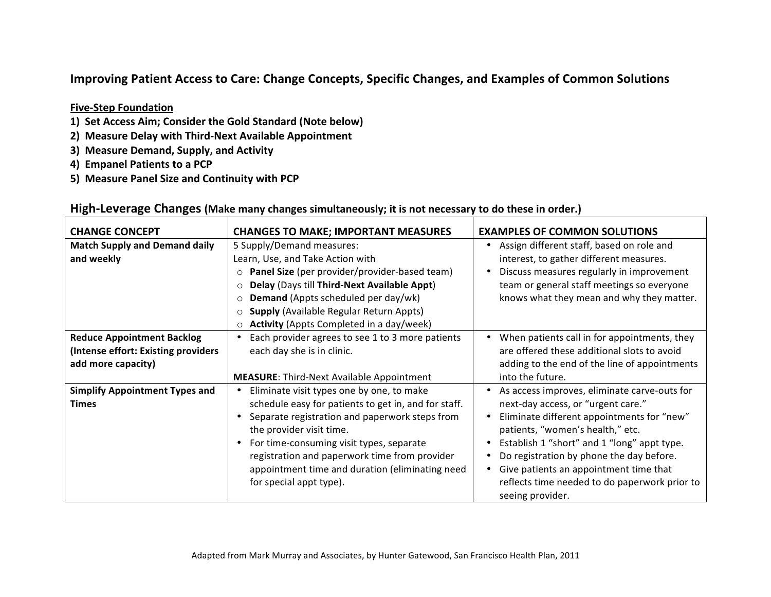#### **Improving Patient Access to Care: Change Concepts, Specific Changes, and Examples of Common Solutions**

#### **Five-Step Foundation**

- 1) Set Access Aim; Consider the Gold Standard (Note below)
- 2) Measure Delay with Third-Next Available Appointment
- **3) Measure Demand, Supply, and Activity**
- **4) Empanel Patients to a PCP**
- 5) Measure Panel Size and Continuity with PCP

| <b>CHANGE CONCEPT</b>                 | <b>CHANGES TO MAKE; IMPORTANT MEASURES</b>               | <b>EXAMPLES OF COMMON SOLUTIONS</b>           |
|---------------------------------------|----------------------------------------------------------|-----------------------------------------------|
| <b>Match Supply and Demand daily</b>  | 5 Supply/Demand measures:                                | Assign different staff, based on role and     |
| and weekly                            | Learn, Use, and Take Action with                         | interest, to gather different measures.       |
|                                       | Panel Size (per provider/provider-based team)<br>$\circ$ | Discuss measures regularly in improvement     |
|                                       | Delay (Days till Third-Next Available Appt)<br>$\circ$   | team or general staff meetings so everyone    |
|                                       | <b>Demand</b> (Appts scheduled per day/wk)<br>$\circ$    | knows what they mean and why they matter.     |
|                                       | <b>Supply (Available Regular Return Appts)</b><br>O      |                                               |
|                                       | <b>Activity</b> (Appts Completed in a day/week)<br>O     |                                               |
| <b>Reduce Appointment Backlog</b>     | Each provider agrees to see 1 to 3 more patients         | When patients call in for appointments, they  |
| (Intense effort: Existing providers)  | each day she is in clinic.                               | are offered these additional slots to avoid   |
| add more capacity)                    |                                                          | adding to the end of the line of appointments |
|                                       | <b>MEASURE: Third-Next Available Appointment</b>         | into the future.                              |
| <b>Simplify Appointment Types and</b> | Eliminate visit types one by one, to make                | As access improves, eliminate carve-outs for  |
| <b>Times</b>                          | schedule easy for patients to get in, and for staff.     | next-day access, or "urgent care."            |
|                                       | Separate registration and paperwork steps from           | Eliminate different appointments for "new"    |
|                                       | the provider visit time.                                 | patients, "women's health," etc.              |
|                                       | For time-consuming visit types, separate                 | Establish 1 "short" and 1 "long" appt type.   |
|                                       | registration and paperwork time from provider            | Do registration by phone the day before.      |
|                                       | appointment time and duration (eliminating need          | Give patients an appointment time that        |
|                                       | for special appt type).                                  | reflects time needed to do paperwork prior to |
|                                       |                                                          | seeing provider.                              |

#### High-Leverage Changes (Make many changes simultaneously; it is not necessary to do these in order.)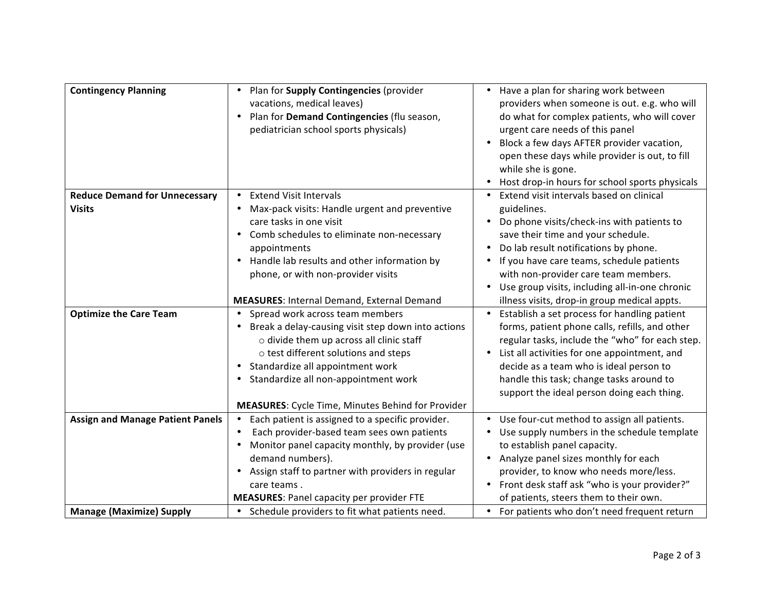| <b>Contingency Planning</b>             | Plan for Supply Contingencies (provider<br>$\bullet$<br>vacations, medical leaves)<br>Plan for Demand Contingencies (flu season,<br>$\bullet$<br>pediatrician school sports physicals) | Have a plan for sharing work between<br>providers when someone is out. e.g. who will<br>do what for complex patients, who will cover<br>urgent care needs of this panel<br>Block a few days AFTER provider vacation,<br>$\bullet$<br>open these days while provider is out, to fill<br>while she is gone.<br>Host drop-in hours for school sports physicals<br>$\bullet$ |
|-----------------------------------------|----------------------------------------------------------------------------------------------------------------------------------------------------------------------------------------|--------------------------------------------------------------------------------------------------------------------------------------------------------------------------------------------------------------------------------------------------------------------------------------------------------------------------------------------------------------------------|
| <b>Reduce Demand for Unnecessary</b>    | <b>Extend Visit Intervals</b><br>$\bullet$                                                                                                                                             | Extend visit intervals based on clinical                                                                                                                                                                                                                                                                                                                                 |
| <b>Visits</b>                           | Max-pack visits: Handle urgent and preventive<br>٠                                                                                                                                     | guidelines.                                                                                                                                                                                                                                                                                                                                                              |
|                                         | care tasks in one visit                                                                                                                                                                | Do phone visits/check-ins with patients to                                                                                                                                                                                                                                                                                                                               |
|                                         | Comb schedules to eliminate non-necessary<br>$\bullet$                                                                                                                                 | save their time and your schedule.                                                                                                                                                                                                                                                                                                                                       |
|                                         | appointments                                                                                                                                                                           | Do lab result notifications by phone.                                                                                                                                                                                                                                                                                                                                    |
|                                         | Handle lab results and other information by<br>$\bullet$                                                                                                                               | If you have care teams, schedule patients                                                                                                                                                                                                                                                                                                                                |
|                                         | phone, or with non-provider visits                                                                                                                                                     | with non-provider care team members.                                                                                                                                                                                                                                                                                                                                     |
|                                         |                                                                                                                                                                                        | Use group visits, including all-in-one chronic                                                                                                                                                                                                                                                                                                                           |
|                                         | <b>MEASURES: Internal Demand, External Demand</b>                                                                                                                                      | illness visits, drop-in group medical appts.                                                                                                                                                                                                                                                                                                                             |
| <b>Optimize the Care Team</b>           | • Spread work across team members                                                                                                                                                      | Establish a set process for handling patient<br>$\bullet$                                                                                                                                                                                                                                                                                                                |
|                                         | Break a delay-causing visit step down into actions<br>$\bullet$                                                                                                                        | forms, patient phone calls, refills, and other                                                                                                                                                                                                                                                                                                                           |
|                                         | o divide them up across all clinic staff                                                                                                                                               | regular tasks, include the "who" for each step.                                                                                                                                                                                                                                                                                                                          |
|                                         | o test different solutions and steps                                                                                                                                                   | List all activities for one appointment, and                                                                                                                                                                                                                                                                                                                             |
|                                         | Standardize all appointment work<br>$\bullet$                                                                                                                                          | decide as a team who is ideal person to                                                                                                                                                                                                                                                                                                                                  |
|                                         | Standardize all non-appointment work                                                                                                                                                   | handle this task; change tasks around to                                                                                                                                                                                                                                                                                                                                 |
|                                         |                                                                                                                                                                                        | support the ideal person doing each thing.                                                                                                                                                                                                                                                                                                                               |
|                                         | <b>MEASURES:</b> Cycle Time, Minutes Behind for Provider                                                                                                                               |                                                                                                                                                                                                                                                                                                                                                                          |
| <b>Assign and Manage Patient Panels</b> | Each patient is assigned to a specific provider.<br>$\bullet$                                                                                                                          | Use four-cut method to assign all patients.<br>$\bullet$                                                                                                                                                                                                                                                                                                                 |
|                                         | Each provider-based team sees own patients<br>$\bullet$                                                                                                                                | Use supply numbers in the schedule template                                                                                                                                                                                                                                                                                                                              |
|                                         | Monitor panel capacity monthly, by provider (use                                                                                                                                       | to establish panel capacity.                                                                                                                                                                                                                                                                                                                                             |
|                                         | demand numbers).                                                                                                                                                                       | Analyze panel sizes monthly for each                                                                                                                                                                                                                                                                                                                                     |
|                                         | Assign staff to partner with providers in regular                                                                                                                                      | provider, to know who needs more/less.                                                                                                                                                                                                                                                                                                                                   |
|                                         | care teams.                                                                                                                                                                            | Front desk staff ask "who is your provider?"                                                                                                                                                                                                                                                                                                                             |
|                                         | <b>MEASURES: Panel capacity per provider FTE</b>                                                                                                                                       | of patients, steers them to their own.                                                                                                                                                                                                                                                                                                                                   |
| <b>Manage (Maximize) Supply</b>         | • Schedule providers to fit what patients need.                                                                                                                                        | For patients who don't need frequent return<br>$\bullet$                                                                                                                                                                                                                                                                                                                 |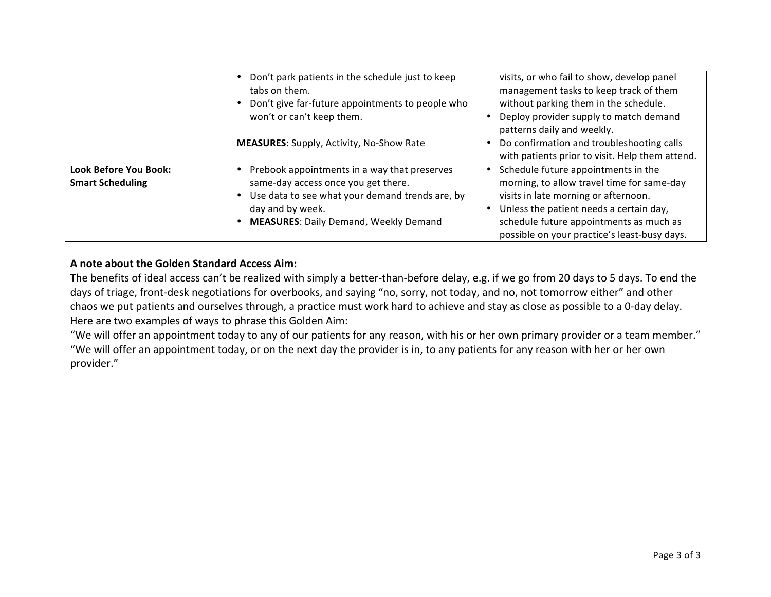|                                                         | Don't park patients in the schedule just to keep<br>tabs on them.<br>Don't give far-future appointments to people who<br>won't or can't keep them.<br><b>MEASURES:</b> Supply, Activity, No-Show Rate      | visits, or who fail to show, develop panel<br>management tasks to keep track of them<br>without parking them in the schedule.<br>Deploy provider supply to match demand<br>patterns daily and weekly.<br>Do confirmation and troubleshooting calls<br>with patients prior to visit. Help them attend. |
|---------------------------------------------------------|------------------------------------------------------------------------------------------------------------------------------------------------------------------------------------------------------------|-------------------------------------------------------------------------------------------------------------------------------------------------------------------------------------------------------------------------------------------------------------------------------------------------------|
| <b>Look Before You Book:</b><br><b>Smart Scheduling</b> | Prebook appointments in a way that preserves<br>same-day access once you get there.<br>Use data to see what your demand trends are, by<br>day and by week.<br><b>MEASURES: Daily Demand, Weekly Demand</b> | Schedule future appointments in the<br>morning, to allow travel time for same-day<br>visits in late morning or afternoon.<br>Unless the patient needs a certain day,<br>schedule future appointments as much as<br>possible on your practice's least-busy days.                                       |

#### A note about the Golden Standard Access Aim:

The benefits of ideal access can't be realized with simply a better-than-before delay, e.g. if we go from 20 days to 5 days. To end the days of triage, front-desk negotiations for overbooks, and saying "no, sorry, not today, and no, not tomorrow either" and other chaos we put patients and ourselves through, a practice must work hard to achieve and stay as close as possible to a 0-day delay. Here are two examples of ways to phrase this Golden Aim:

"We will offer an appointment today to any of our patients for any reason, with his or her own primary provider or a team member." "We will offer an appointment today, or on the next day the provider is in, to any patients for any reason with her or her own provider."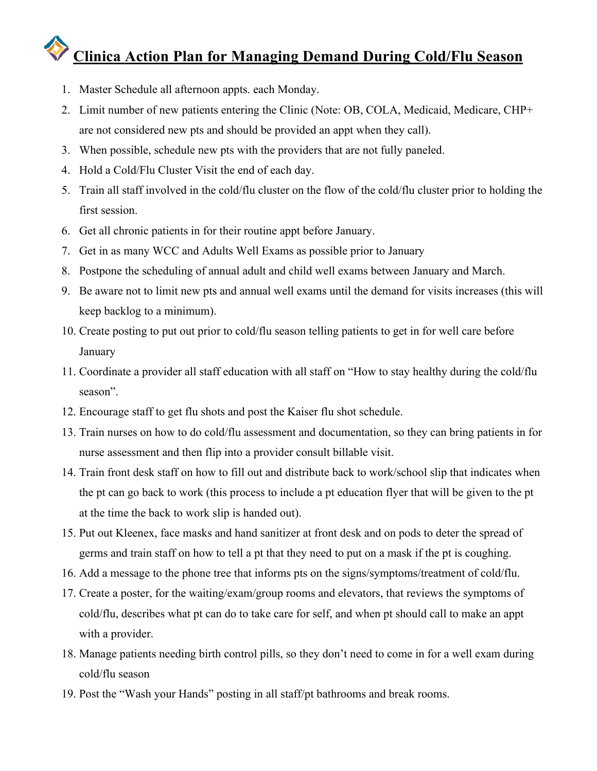#### **Clinica Action Plan for Managing Demand During Cold/Flu Season**

- 1. Master Schedule all afternoon appts. each Monday.
- 2. Limit number of new patients entering the Clinic (Note: OB, COLA, Medicaid, Medicare, CHP+ are not considered new pts and should be provided an appt when they call).
- 3. When possible, schedule new pts with the providers that are not fully paneled.
- 4. Hold a Cold/Flu Cluster Visit the end of each day.
- 5. Train all staff involved in the cold/flu cluster on the flow of the cold/flu cluster prior to holding the first session.
- 6. Get all chronic patients in for their routine appt before January.
- 7. Get in as many WCC and Adults Well Exams as possible prior to January
- 8. Postpone the scheduling of annual adult and child well exams between January and March.
- 9. Be aware not to limit new pts and annual well exams until the demand for visits increases (this will keep backlog to a minimum).
- 10. Create posting to put out prior to cold/flu season telling patients to get in for well care before **January**
- 11. Coordinate a provider all staff education with all staff on "How to stay healthy during the cold/flu season".
- 12. Encourage staff to get flu shots and post the Kaiser flu shot schedule.
- 13. Train nurses on how to do cold/flu assessment and documentation, so they can bring patients in for nurse assessment and then flip into a provider consult billable visit.
- 14. Train front desk staff on how to fill out and distribute back to work/school slip that indicates when the pt can go back to work (this process to include a pt education flyer that will be given to the pt at the time the back to work slip is handed out).
- 15. Put out Kleenex, face masks and hand sanitizer at front desk and on pods to deter the spread of germs and train staff on how to tell a pt that they need to put on a mask if the pt is coughing.
- 16. Add a message to the phone tree that informs pts on the signs/symptoms/treatment of cold/flu.
- 17. Create a poster, for the waiting/exam/group rooms and elevators, that reviews the symptoms of cold/flu, describes what pt can do to take care for self, and when pt should call to make an appt with a provider.
- 18. Manage patients needing birth control pills, so they don't need to come in for a well exam during cold/flu season
- 19. Post the "Wash your Hands" posting in all staff/pt bathrooms and break rooms.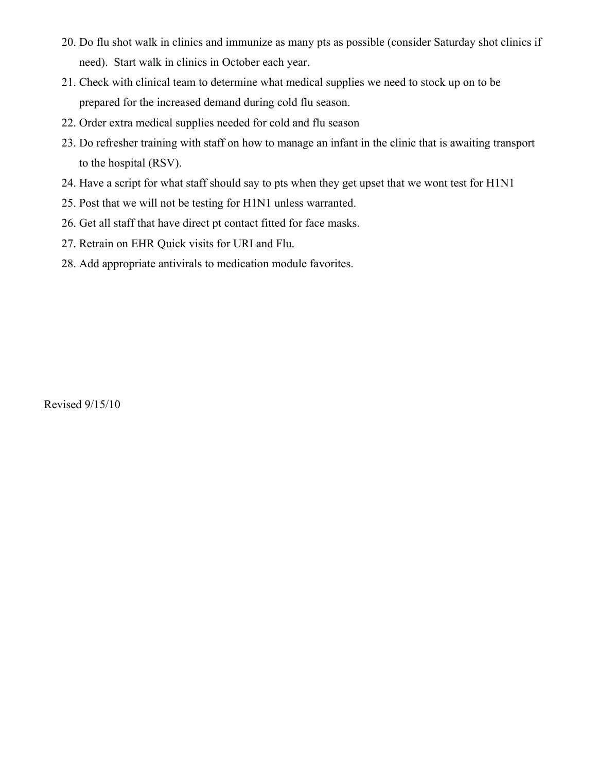- 20. Do flu shot walk in clinics and immunize as many pts as possible (consider Saturday shot clinics if need). Start walk in clinics in October each year.
- 21. Check with clinical team to determine what medical supplies we need to stock up on to be prepared for the increased demand during cold flu season.
- 22. Order extra medical supplies needed for cold and flu season
- 23. Do refresher training with staff on how to manage an infant in the clinic that is awaiting transport to the hospital (RSV).
- 24. Have a script for what staff should say to pts when they get upset that we wont test for H1N1
- 25. Post that we will not be testing for H1N1 unless warranted.
- 26. Get all staff that have direct pt contact fitted for face masks.
- 27. Retrain on EHR Quick visits for URI and Flu.
- 28. Add appropriate antivirals to medication module favorites.

Revised 9/15/10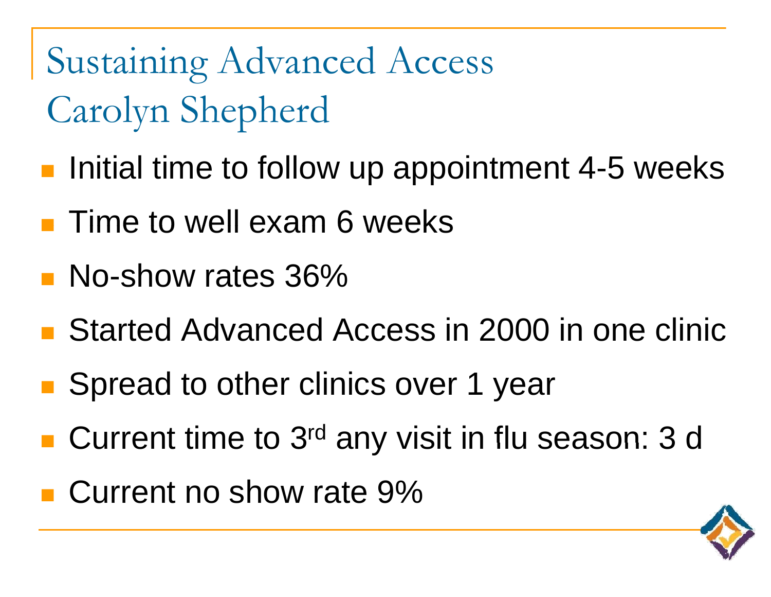Sustaining Advanced Access Carolyn Shepherd

- p. **Initial time to follow up appointment 4-5 weeks**
- $\blacksquare$  Time to well exam 6 weeks
- **No-show rates 36%**
- Started Advanced Access in 2000 in one clinic
- $\mathbb{R}^n$ ■ Spread to other clinics over 1 year
- $\mathbb{R}^n$ **Current time to 3<sup>rd</sup> any visit in flu season: 3 d**
- Current no show rate 9%

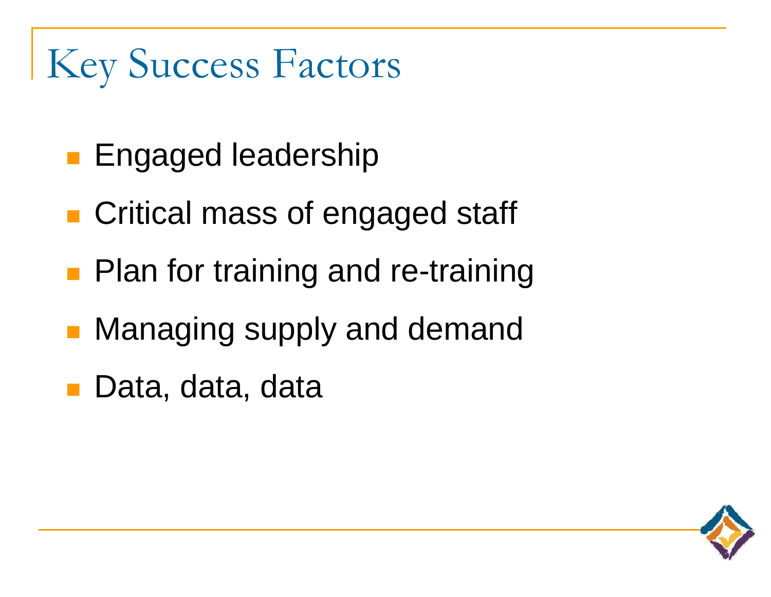### Key Success Factors

- **Engaged leadership**
- **Critical mass of engaged staff**
- **Plan for training and re-training**
- $\mathcal{L}_{\mathcal{A}}$ Managing supply and demand
- Data, data, data

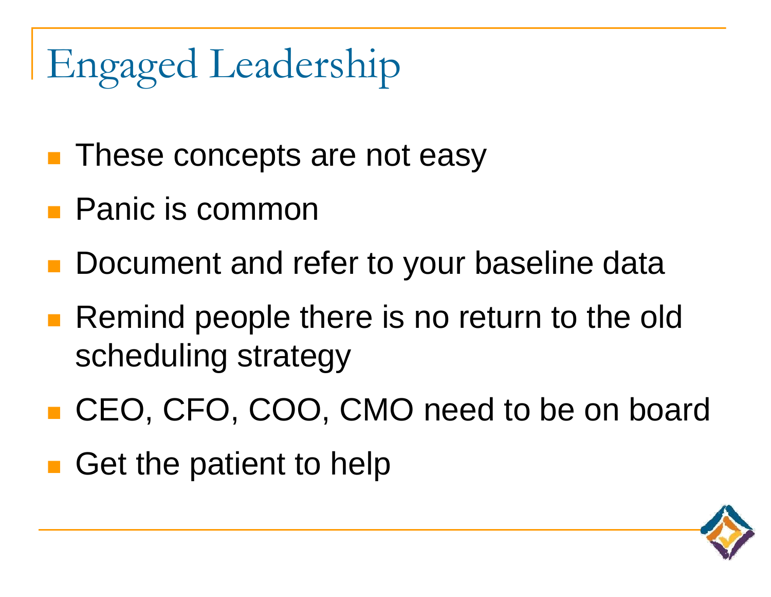### Engaged Leadership

- **These concepts are not easy**
- Panic is common
- **Document and refer to your baseline data**
- Remind people there is no return to the old scheduling strategy
- CEO, CFO, COO, CMO need to be on board
- Get the patient to help

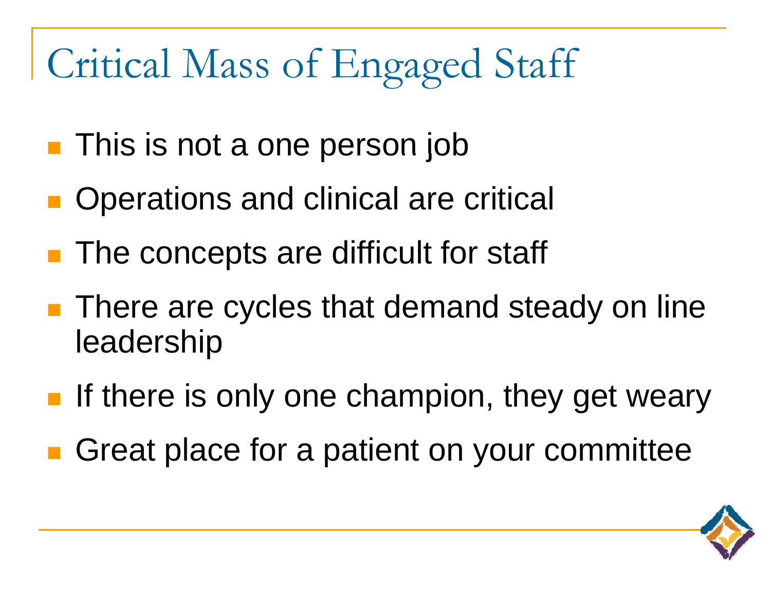#### Critical Mass of En gaged Staff

- **This is not a one person job**
- **Operations and clinical are critical**
- **The concepts are difficult for staff**
- **There are cycles that demand steady on line** leadership
- **If there is only one champion, they get weary**
- **E** Great place for a patient on your committee

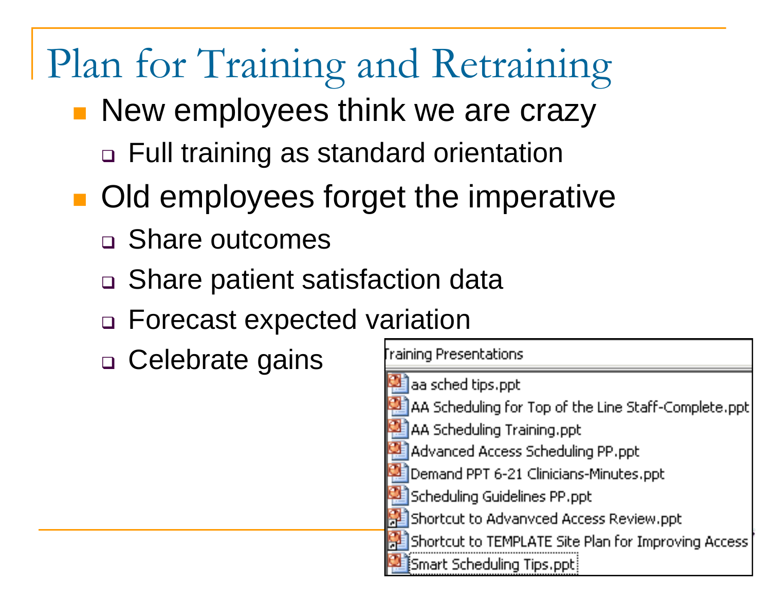### Plan for Training and Retraining

- p. **New employees think we are crazy** 
	- □ Full training as standard orientation
- $\mathbb{R}^n$ **Old employees forget the imperative** 
	- Share outcomes
	- □ Share patient satisfaction data
	- Forecast expected variation
	- □ Celebrate gains

| Fraining Presentations                               |
|------------------------------------------------------|
| aa sched tips.ppt                                    |
| AA Scheduling for Top of the Line Staff-Complete.ppt |
| <b>AA Scheduling Training.ppt</b>                    |
| Advanced Access Scheduling PP.ppt                    |
| Demand PPT 6-21 Clinicians-Minutes.ppt               |
| Scheduling Guidelines PP.ppt                         |
| Shortcut to Advanvced Access Review.ppt              |
| Shortcut to TEMPLATE Site Plan for Improving Access  |
| Smart Scheduling Tips.ppt                            |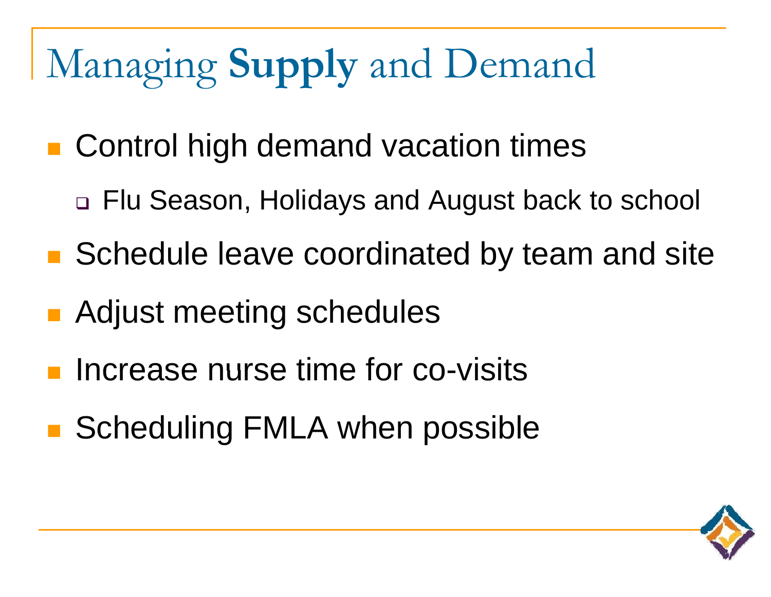- **n** Control high demand vacation times
	- Flu Season, Holidays and August back to school
- **Schedule leave coordinated by team and site**
- **Adjust meeting schedules**
- Increase nurse time for co-visits
- Scheduling FMLA when possible

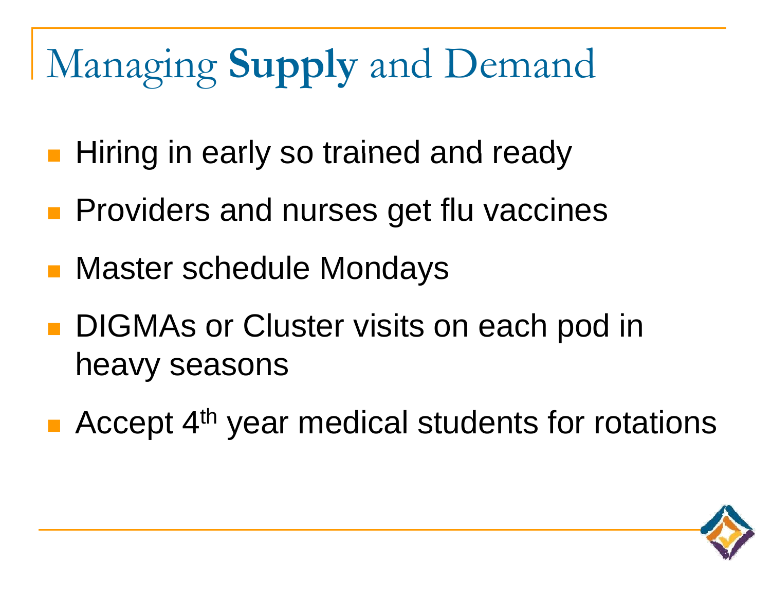- **Hiring in early so trained and ready**
- **Providers and nurses get flu vaccines**
- Master schedule Mondays
- **DIGMAs or Cluster visits on each pod in** heavy seasons
- Accept 4<sup>th</sup> year medical students for rotations

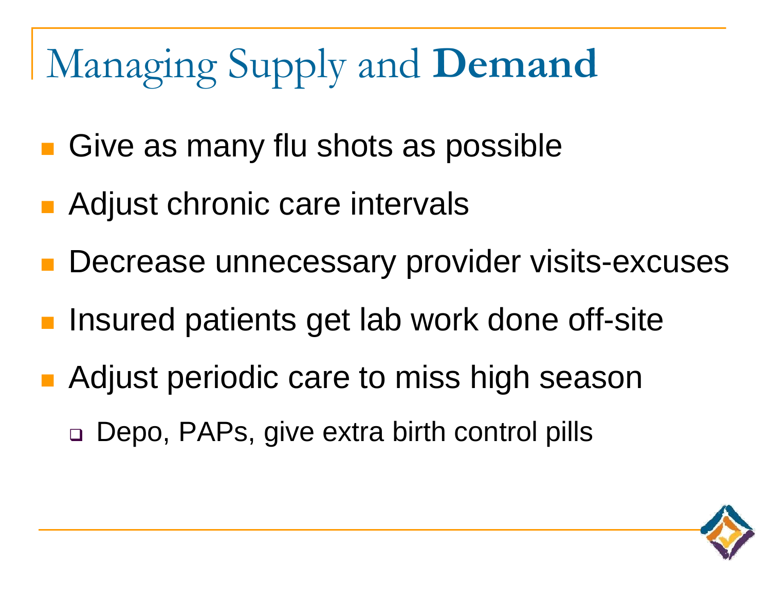- $\mathbb{R}^n$ **Give as many flu shots as possible**
- p. ■ Adjust chronic care intervals
- p. **Decrease unnecessary provider visits-excuses**
- р.<br>По Insured patients get lab work done off-site
- p. **• Adjust periodic care to miss high season** 
	- □ Depo, PAPs, give extra birth control pills

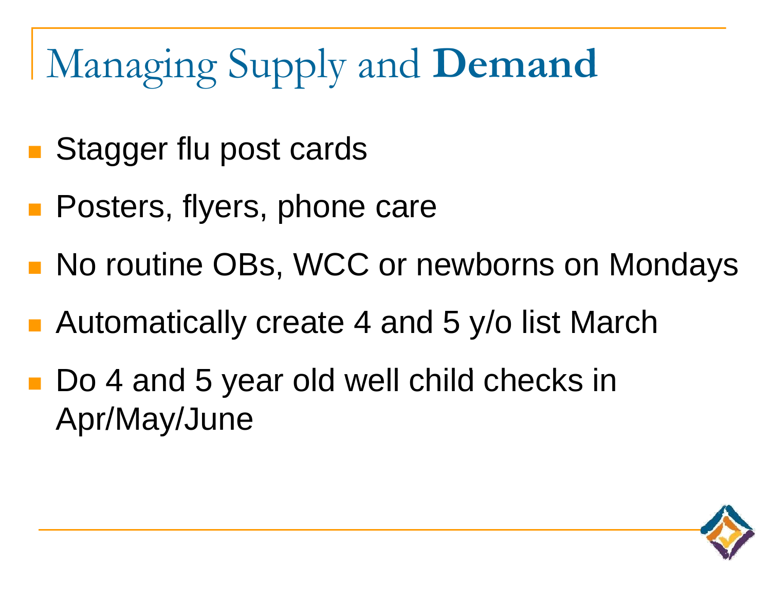- Stagger flu post cards
- **Posters, flyers, phone care**
- **No routine OBs, WCC or newborns on Mondays**
- Automatically create 4 and 5 y/o list March
- Do 4 and 5 year old well child checks in Apr/May/June

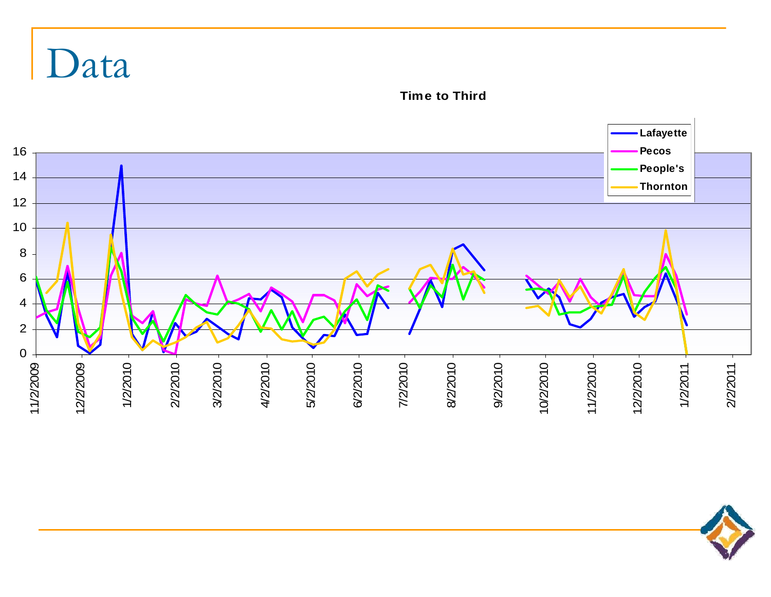

**Time to Third**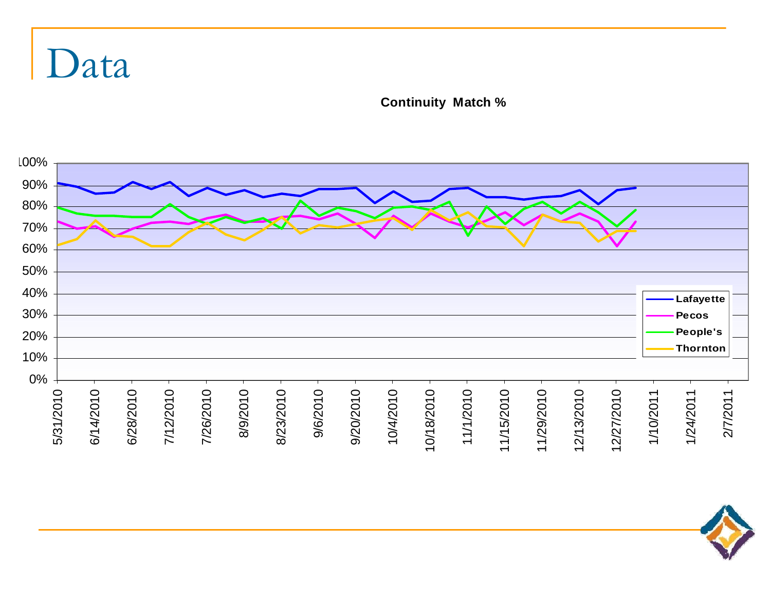**Continuity Match %** 



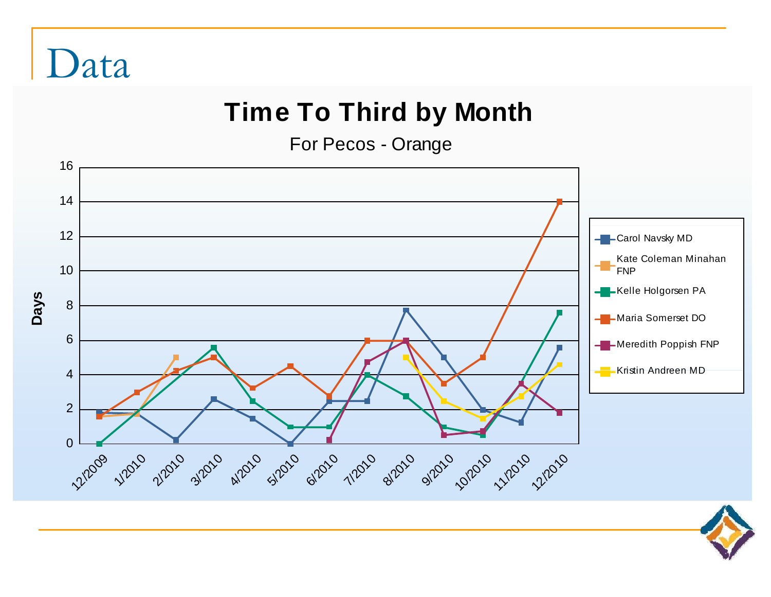### **Time To Third by Month**

For Pecos - Orange



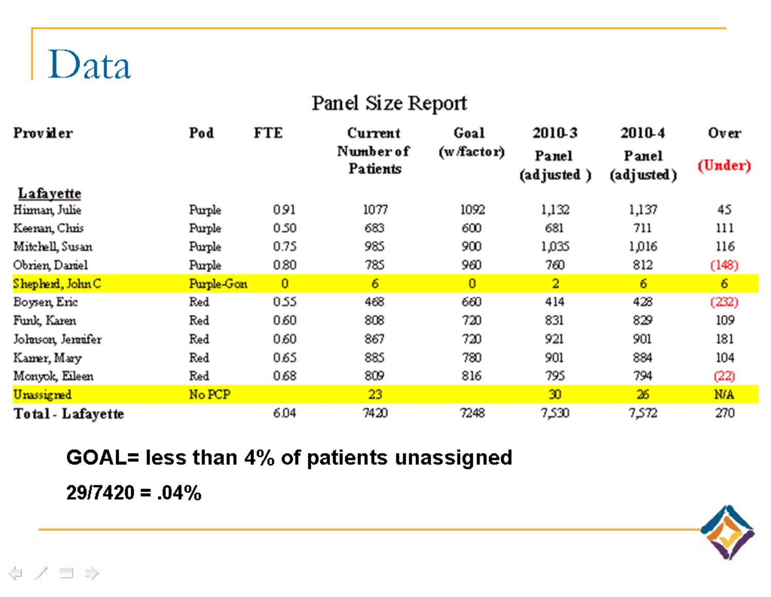#### Panel Size Report

| Provider          | Pod        | <b>FTE</b>     | Current               | Goal           | 2010-3              | 2010-4              | Over    |
|-------------------|------------|----------------|-----------------------|----------------|---------------------|---------------------|---------|
|                   |            |                | Number of<br>Patients | (w/factor)     | Panel<br>(adjusted) | Panel<br>(adjusted) | (Under) |
| Lafayette         |            |                |                       |                |                     |                     |         |
| Himan, Julie      | Purple     | 0.91           | 1077                  | 1092           | 1,132               | 1,137               | 45      |
| Keenan, Chris     | Purple     | 0.50           | 683                   | 600            | 681                 | 711                 | 111     |
| Mitchell, Susan   | Purple     | 0.75           | 985                   | 900            | 1,035               | 1,016               | 116     |
| Obrien, Daniel    | Purple     | 0.80           | 785                   | 960            | 760                 | 812                 | (148)   |
| Shepherd, John C  | Purple-Gon | $\overline{0}$ | 6                     | $\overline{0}$ | $\overline{2}$      | 6                   | 6       |
| Boysen, Eric      | Red        | 0.55           | 468                   | 660            | 414                 | 428                 | (232)   |
| Funk, Karen       | Red        | 0.60           | 808                   | 720            | 831                 | 829                 | 109     |
| Johnson, Jennifer | Red        | 0.60           | 867                   | 720            | 921                 | 901                 | 181     |
| Kamer, Mary       | Red        | 065            | 885                   | 780            | 901                 | 884                 | 104     |
| Monyok, Eileen    | Red        | 0.68           | 809                   | 816            | 795                 | 794                 | (22)    |
| Unassigned        | No PCP     |                | 23                    |                | 30                  | 26                  | N/A     |
| Total - Lafayette |            | 6.04           | 7420                  | 7248           | 7,530               | 7,572               | 270     |

### GOAL= less than 4% of patients unassigned

 $29/7420 = .04\%$ 

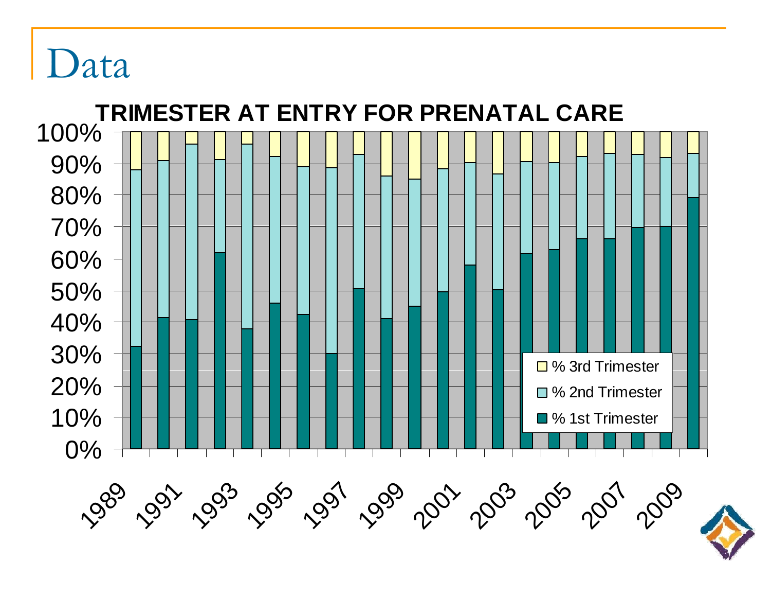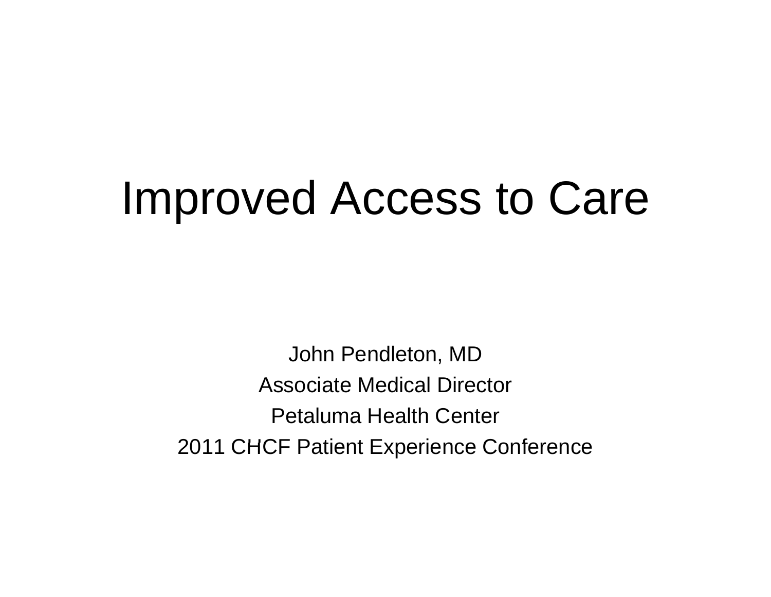### Improved Access to Care

John Pendleton, MD Associate Medical Director Petaluma Health Center 2011 CHCF Patient Experience Conference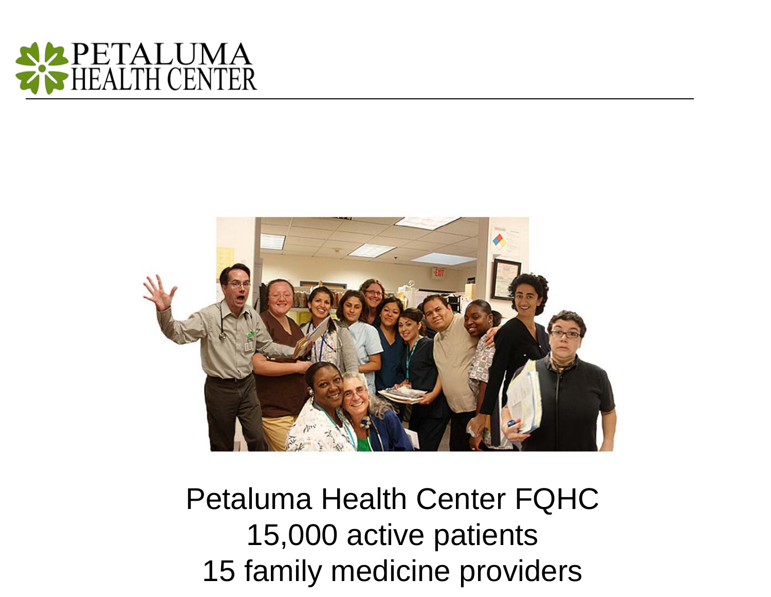



Petaluma Health Center FQHC 15,000 active patients 15 family medicine providers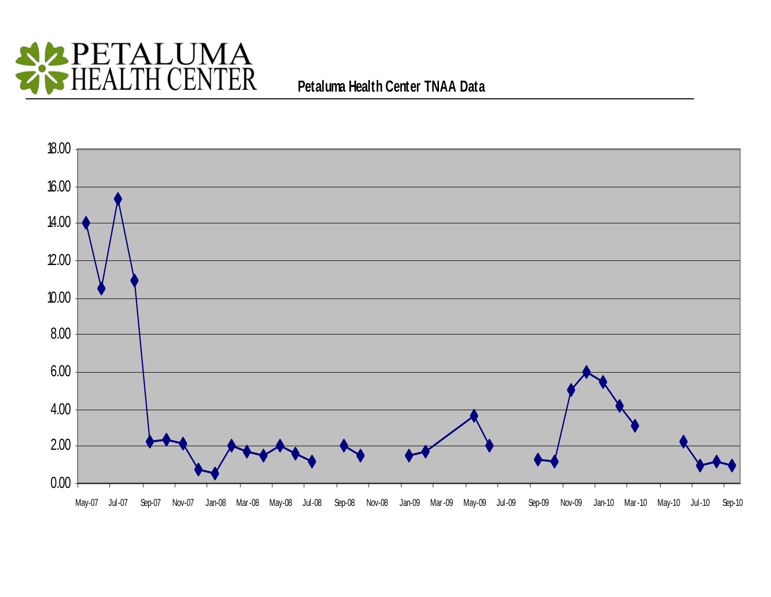

#### **P t l H lth C t TNAA D t Petaluma Health Center Data**

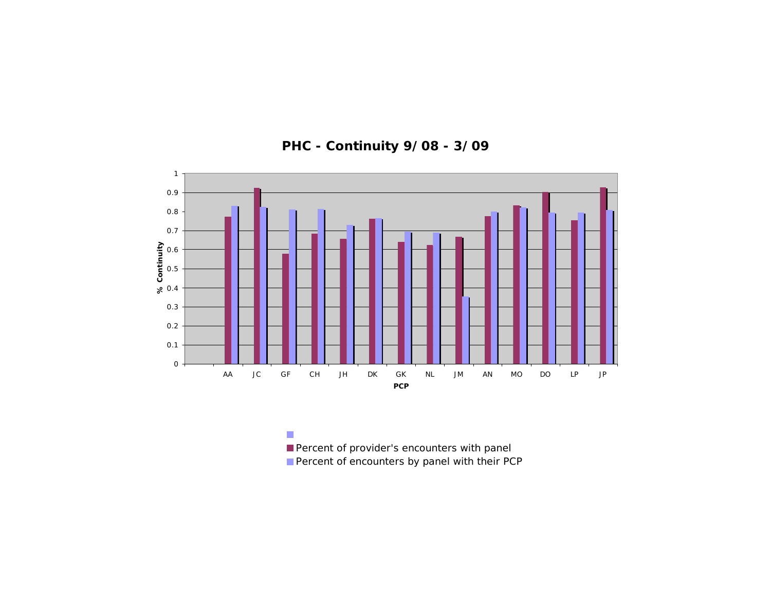

**PHC - Continuity 9/08 - 3/09**

 $\mathcal{C}$ Percent of provider's encounters with panel Percent of encounters by panel with their PCP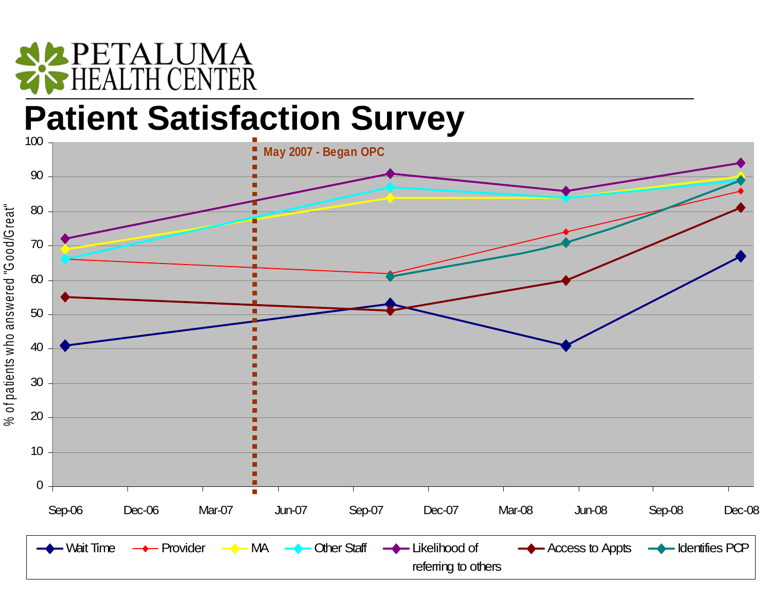# PETALUMA

reat"

ered "G ood/Gr

nts who answe

#### **Patient Satisfaction Survey**  $\overline{100}$

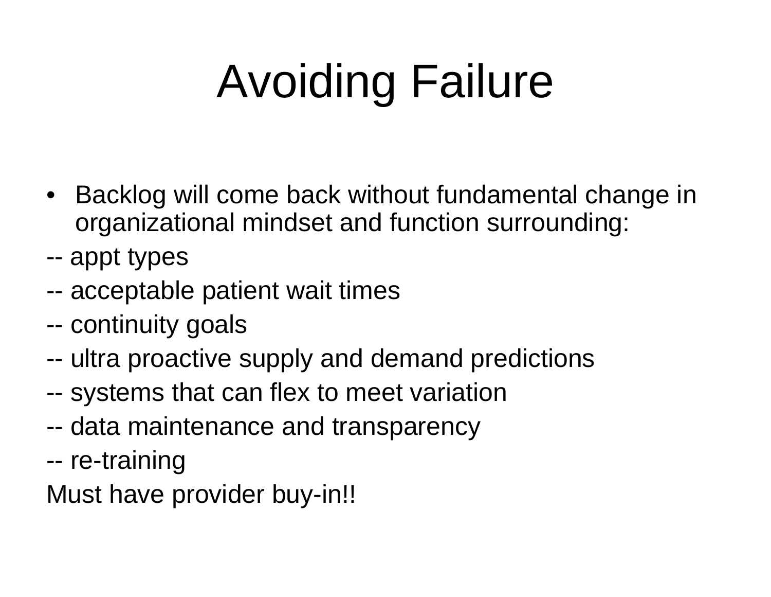# Avoiding Failure

- Backlog will come back without fundamental change in organizational mindset and function surrounding:
- -appt types
- -acceptable patient wait times
- -continuity goals
- -- ultra proactive supply and demand predictions
- -systems that can flex to meet variation
- -data maintenance and transparency
- -re-training
- Must have provider buy-in!!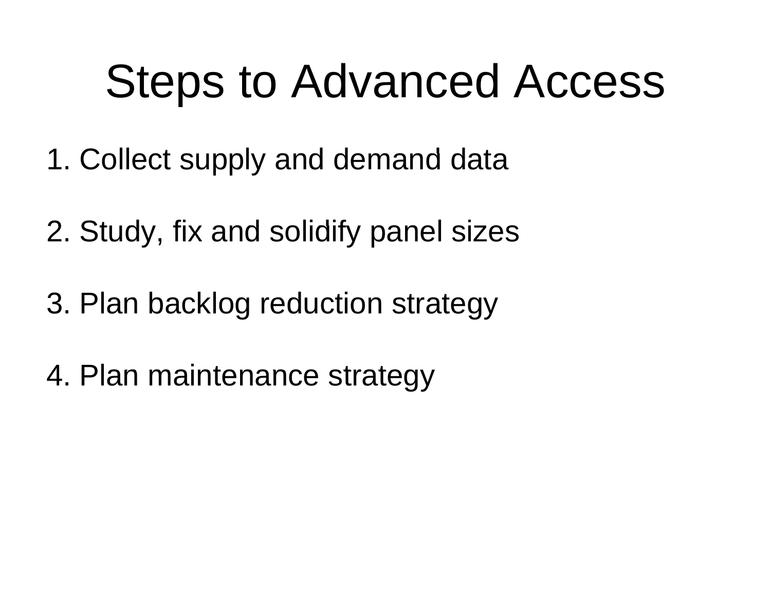### Steps to Advanced Access

- 1. Collect supply and demand data
- 2. Study, fix and solidify panel sizes
- 3. Plan backlog reduction strategy
- 4. Plan maintenance strategy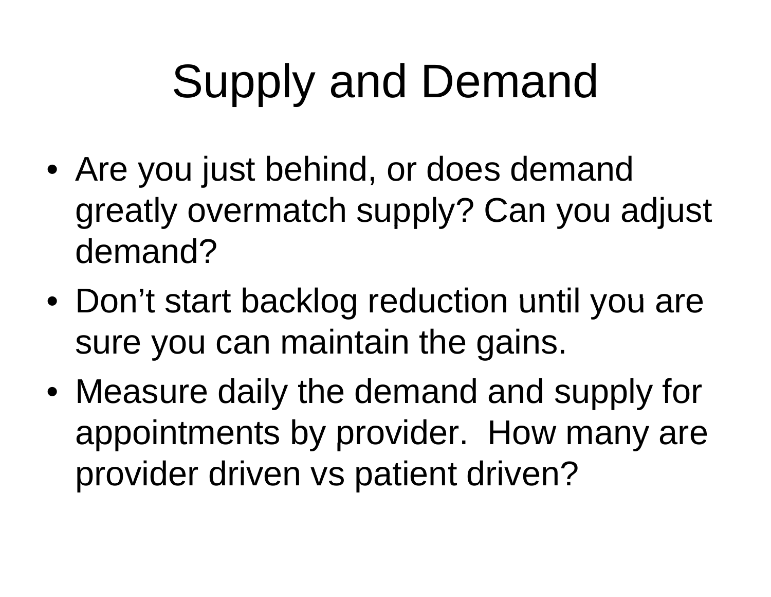# Supply and Demand

- Are you just behind, or does demand greatly overmatch supply? Can you adjust demand?
- $\bullet\,$  Don't start backlog reduction until you are sure you can maintain the gains.
- Measure daily the demand and supply for appointments by provider. How many are provider driven vs patient driven?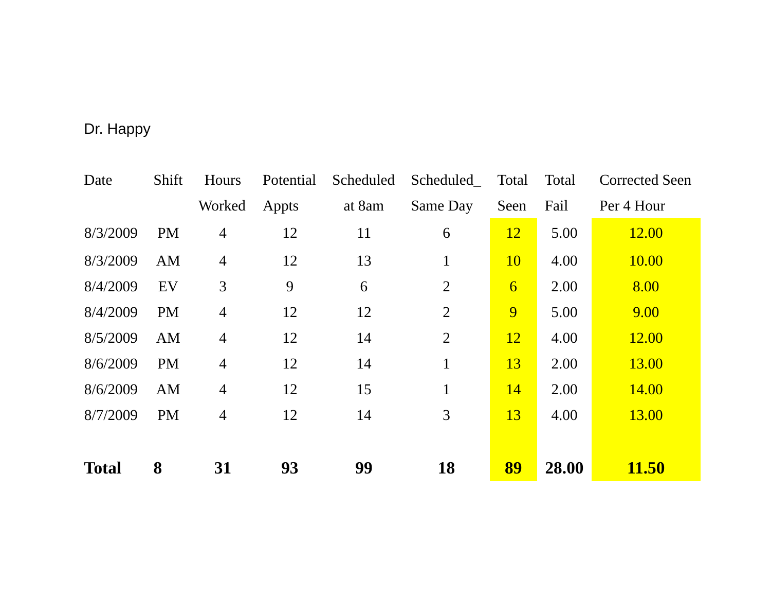#### Dr. Happy

| Date         | Shift     | Hours          | Potential | Scheduled | Scheduled_     | Total          | Total | <b>Corrected Seen</b> |
|--------------|-----------|----------------|-----------|-----------|----------------|----------------|-------|-----------------------|
|              |           | Worked         | Appts     | at 8am    | Same Day       | Seen           | Fail  | Per 4 Hour            |
| 8/3/2009     | <b>PM</b> | 4              | 12        | 11        | 6              | <u>12</u>      | 5.00  | <b>12.00</b>          |
| 8/3/2009     | AM        | $\overline{4}$ | 12        | 13        | $\mathbf 1$    | <b>10</b>      | 4.00  | 10.00                 |
| 8/4/2009     | EV        | 3              | 9         | 6         | $\overline{2}$ | $\overline{6}$ | 2.00  | 8.00                  |
| 8/4/2009     | <b>PM</b> | $\overline{4}$ | 12        | 12        | $\overline{2}$ | 9              | 5.00  | 9.00                  |
| 8/5/2009     | AM        | $\overline{4}$ | 12        | 14        | $\overline{2}$ | <b>12</b>      | 4.00  | 12.00                 |
| 8/6/2009     | <b>PM</b> | $\overline{4}$ | 12        | 14        | $\mathbf{1}$   | 13             | 2.00  | <b>13.00</b>          |
| 8/6/2009     | AM        | $\overline{4}$ | 12        | 15        | $\mathbf{1}$   | <b>14</b>      | 2.00  | <b>14.00</b>          |
| 8/7/2009     | <b>PM</b> | $\overline{4}$ | 12        | 14        | 3              | 13             | 4.00  | 13.00                 |
|              |           |                |           |           |                |                |       |                       |
| <b>Total</b> | 8         | 31             | 93        | 99        | <b>18</b>      | 89             | 28.00 | <b>11.50</b>          |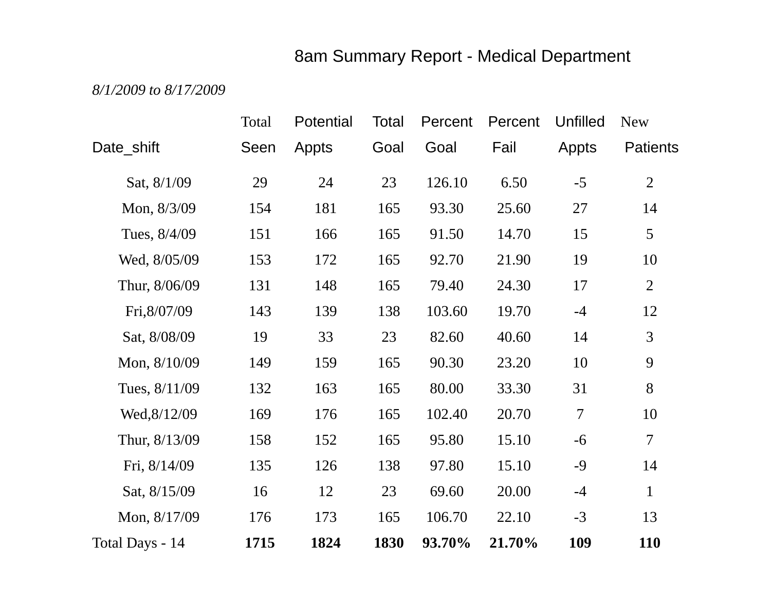#### 8am Summary Report - Medical Department

*8/1/2009 to 8/17/2009*

|                 | Total | Potential | Total | Percent | Percent | <b>Unfilled</b> | <b>New</b>      |
|-----------------|-------|-----------|-------|---------|---------|-----------------|-----------------|
| Date_shift      | Seen  | Appts     | Goal  | Goal    | Fail    | Appts           | <b>Patients</b> |
| Sat, 8/1/09     | 29    | 24        | 23    | 126.10  | 6.50    | $-5$            | $\overline{2}$  |
| Mon, 8/3/09     | 154   | 181       | 165   | 93.30   | 25.60   | 27              | 14              |
| Tues, 8/4/09    | 151   | 166       | 165   | 91.50   | 14.70   | 15              | $5\overline{)}$ |
| Wed, 8/05/09    | 153   | 172       | 165   | 92.70   | 21.90   | 19              | 10              |
| Thur, 8/06/09   | 131   | 148       | 165   | 79.40   | 24.30   | 17              | $\overline{2}$  |
| Fri, 8/07/09    | 143   | 139       | 138   | 103.60  | 19.70   | $-4$            | 12              |
| Sat, 8/08/09    | 19    | 33        | 23    | 82.60   | 40.60   | 14              | 3               |
| Mon, 8/10/09    | 149   | 159       | 165   | 90.30   | 23.20   | 10              | 9               |
| Tues, 8/11/09   | 132   | 163       | 165   | 80.00   | 33.30   | 31              | 8               |
| Wed, 8/12/09    | 169   | 176       | 165   | 102.40  | 20.70   | 7               | 10              |
| Thur, 8/13/09   | 158   | 152       | 165   | 95.80   | 15.10   | $-6$            | $\overline{7}$  |
| Fri, 8/14/09    | 135   | 126       | 138   | 97.80   | 15.10   | $-9$            | 14              |
| Sat, 8/15/09    | 16    | 12        | 23    | 69.60   | 20.00   | $-4$            | $\mathbf{1}$    |
| Mon, 8/17/09    | 176   | 173       | 165   | 106.70  | 22.10   | $-3$            | 13              |
| Total Days - 14 | 1715  | 1824      | 1830  | 93.70%  | 21.70%  | 109             | 110             |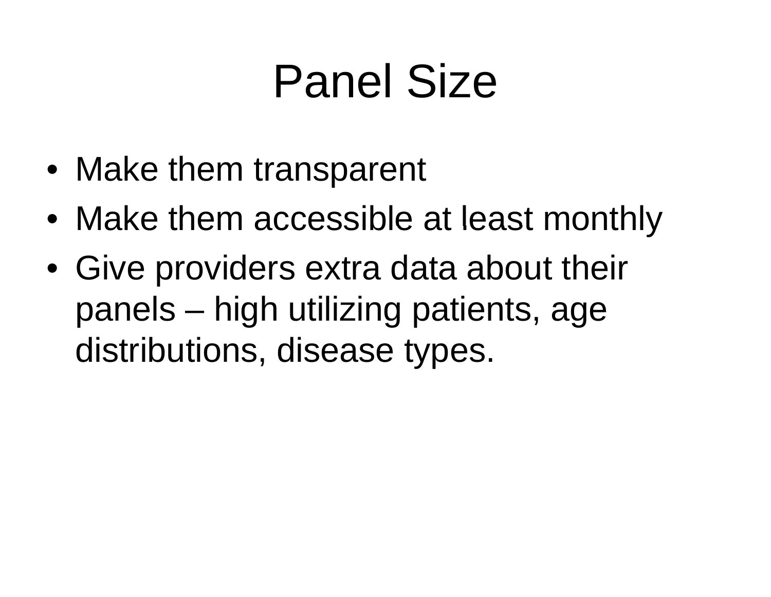### Panel Size

- Make them transparent
- $\bullet\,$  Make them accessible at least monthly
- Give providers extra data about their panels – high utilizing patients, age distributions, disease types.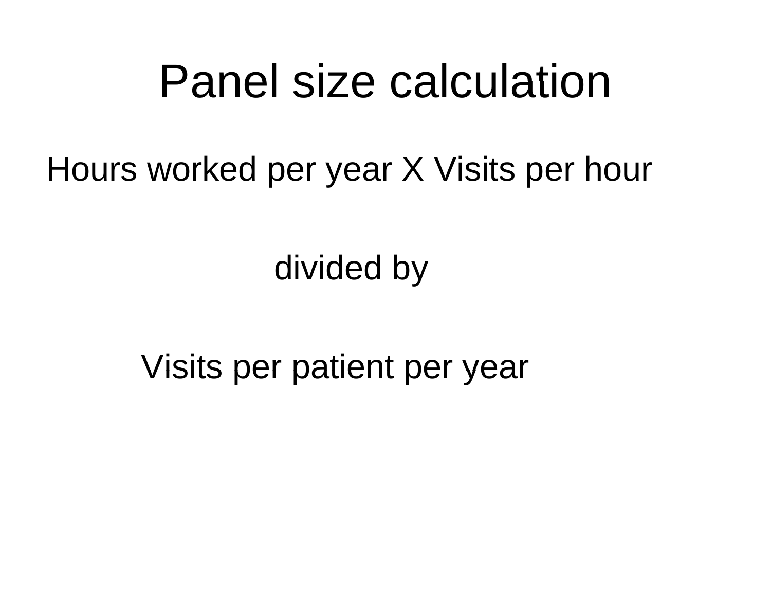### Panel size calculation

Hours worked per year X Visits per hour

divided by

Visits per patient per year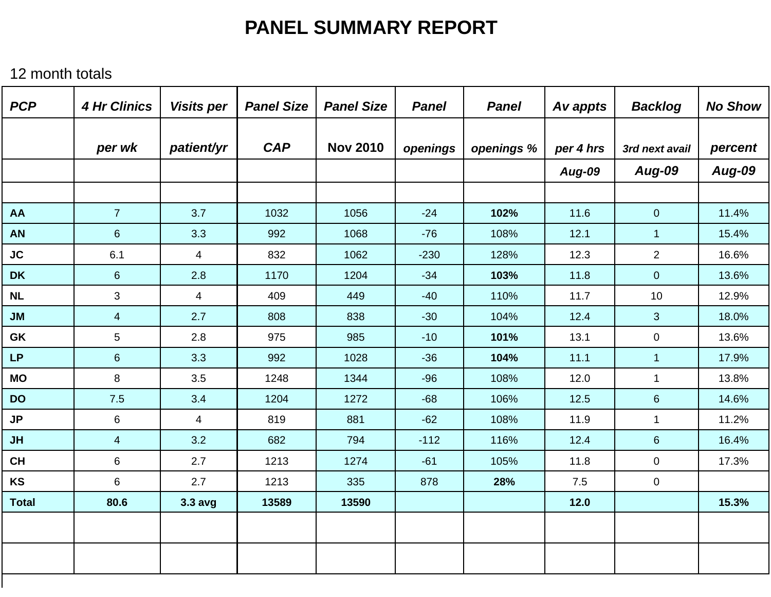#### **PANEL SUMMARY REPORT**

12 month totals

| <b>PCP</b>   | <b>4 Hr Clinics</b> | <b>Visits per</b>       | <b>Panel Size</b> | <b>Panel Size</b> | <b>Panel</b> | <b>Panel</b> | Av appts  | <b>Backlog</b> | <b>No Show</b> |
|--------------|---------------------|-------------------------|-------------------|-------------------|--------------|--------------|-----------|----------------|----------------|
|              | per wk              | patient/yr              | <b>CAP</b>        | <b>Nov 2010</b>   | openings     | openings %   | per 4 hrs | 3rd next avail | percent        |
|              |                     |                         |                   |                   |              |              | Aug-09    | <b>Aug-09</b>  | <b>Aug-09</b>  |
|              |                     |                         |                   |                   |              |              |           |                |                |
| <b>AA</b>    | $\overline{7}$      | 3.7                     | 1032              | 1056              | $-24$        | 102%         | 11.6      | $\overline{0}$ | 11.4%          |
| <b>AN</b>    | $6\phantom{1}$      | 3.3                     | 992               | 1068              | $-76$        | 108%         | 12.1      | $\mathbf{1}$   | 15.4%          |
| <b>JC</b>    | 6.1                 | $\overline{\mathbf{4}}$ | 832               | 1062              | $-230$       | 128%         | 12.3      | $\overline{2}$ | 16.6%          |
| <b>DK</b>    | $6\phantom{a}$      | 2.8                     | 1170              | 1204              | $-34$        | 103%         | 11.8      | $\overline{0}$ | 13.6%          |
| <b>NL</b>    | 3                   | $\overline{4}$          | 409               | 449               | $-40$        | 110%         | 11.7      | 10             | 12.9%          |
| JM           | $\overline{4}$      | 2.7                     | 808               | 838               | $-30$        | 104%         | 12.4      | 3              | 18.0%          |
| GK           | 5                   | 2.8                     | 975               | 985               | $-10$        | 101%         | 13.1      | $\mathbf 0$    | 13.6%          |
| <b>LP</b>    | $6\phantom{.}$      | 3.3                     | 992               | 1028              | $-36$        | 104%         | 11.1      | $\mathbf{1}$   | 17.9%          |
| <b>MO</b>    | 8                   | 3.5                     | 1248              | 1344              | $-96$        | 108%         | 12.0      | $\mathbf{1}$   | 13.8%          |
| <b>DO</b>    | 7.5                 | 3.4                     | 1204              | 1272              | $-68$        | 106%         | 12.5      | $\,6\,$        | 14.6%          |
| <b>JP</b>    | $6\,$               | $\overline{\mathbf{4}}$ | 819               | 881               | $-62$        | 108%         | 11.9      | $\mathbf{1}$   | 11.2%          |
| <b>JH</b>    | $\overline{4}$      | 3.2                     | 682               | 794               | $-112$       | 116%         | 12.4      | $6\phantom{a}$ | 16.4%          |
| <b>CH</b>    | 6                   | 2.7                     | 1213              | 1274              | $-61$        | 105%         | 11.8      | 0              | 17.3%          |
| <b>KS</b>    | 6                   | 2.7                     | 1213              | 335               | 878          | 28%          | 7.5       | $\mathbf 0$    |                |
| <b>Total</b> | 80.6                | $3.3$ avg               | 13589             | 13590             |              |              | $12.0$    |                | 15.3%          |
|              |                     |                         |                   |                   |              |              |           |                |                |
|              |                     |                         |                   |                   |              |              |           |                |                |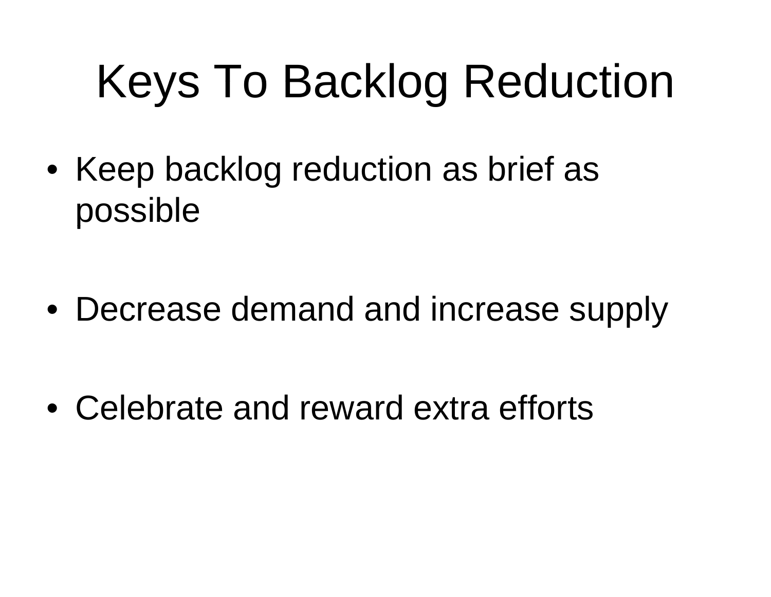# Keys To Backlog Reduction

• Keep backlog reduction as brief as possible

- Decrease demand and increase supply
- Celebrate and reward extra efforts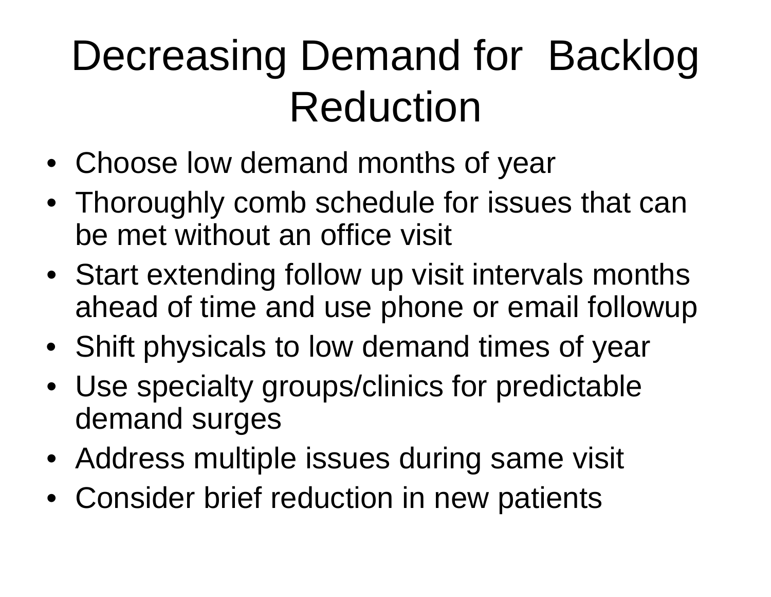### Decreasing Demand for Backlog Reduction

- Choose low demand months of year
- Thoroughly comb schedule for issues that can be met without an office visit
- Start extending follow up visit intervals months ahead of time and use phone or email followup
- Shift physicals to low demand times of year
- Use specialty groups/clinics for predictable demand surges
- Address multiple issues during same visit
- Consider brief reduction in new patients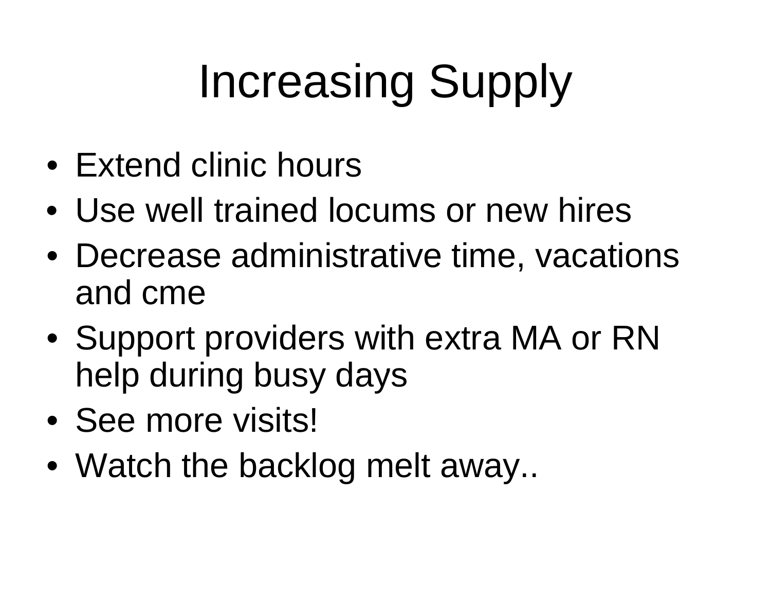# Increasing Supply

- Extend clinic hours
- Use well trained locums or new hires
- Decrease administrative time, vacations and cme
- Support providers with extra MA or RN help during busy days
- See more visits!
- Watch the backlog melt away..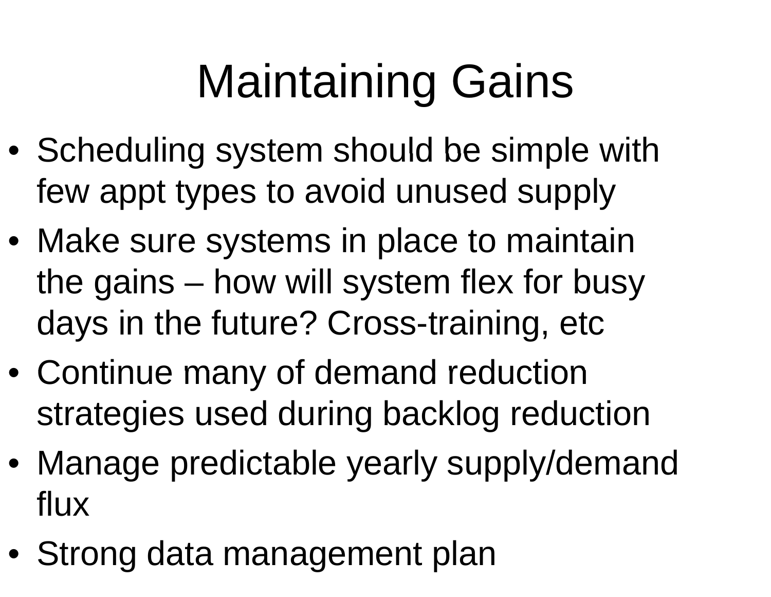# Maintaining Gains

- $\bullet\,$  Scheduling system should be simple with few appt types to avoid unused supply
- Make sure systems in place to maintain the gains –– how will system flex for busy days in the future? Cross-training, etc
- Continue many of demand reduction strategies used during backlog reduction
- Manage predictable yearly supply/demand flux
- Strong data management plan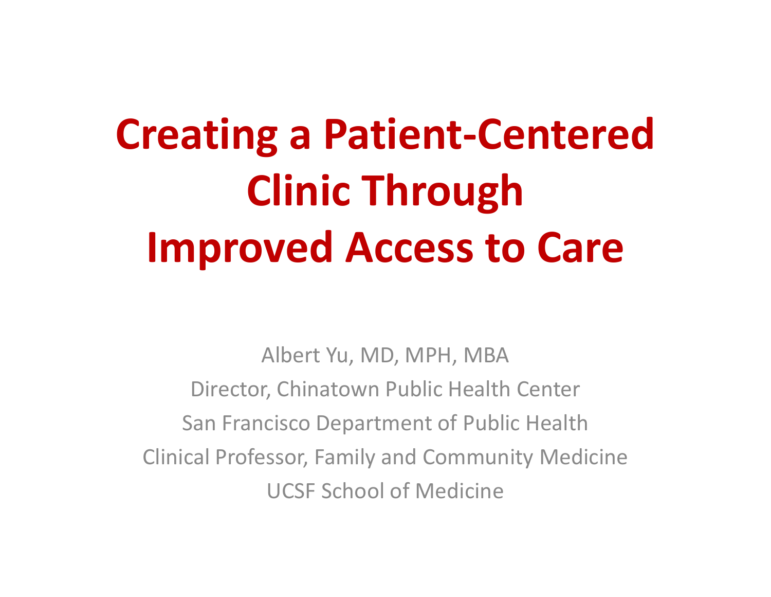# **Creating <sup>a</sup> Patient‐Centered Clinic Through Improved Access to Care**

Albert Yu, MD, MPH, MBA Director, Chinatown Public Health Center San Francisco Department of Public Health Clinical Professor, Family and Community Medicine UCSF School of Medicine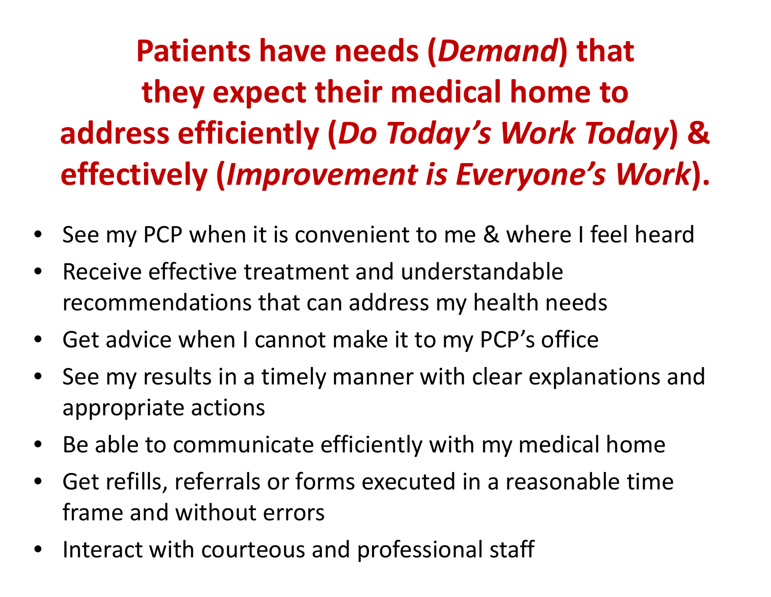**Patients have needs (***Demand***) that they expect their medical home to address efficiently (***Do Today's Work Today***) & effectively (***Improvement is Everyone's Work***).**

- •• See my PCP when it is convenient to me & where I feel heard
- •**•** Receive effective treatment and understandable recommendations that can address my health needs
- •Get advice when I cannot make it to my PCP's office
- • $\bullet$  See my results in a timely manner with clear explanations and appropriate actions
- $\bullet$ Be able to communicate efficiently with my medical home
- $\bullet$  Get refills, referrals or forms executed in <sup>a</sup> reasonable time frame and without errors
- •• Interact with courteous and professional staff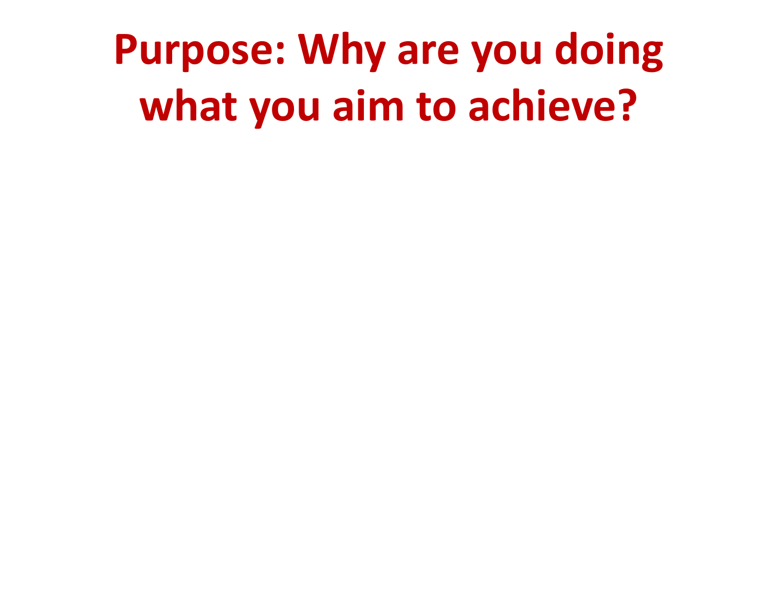**Purpose: Why are you doing what you aim to achieve?**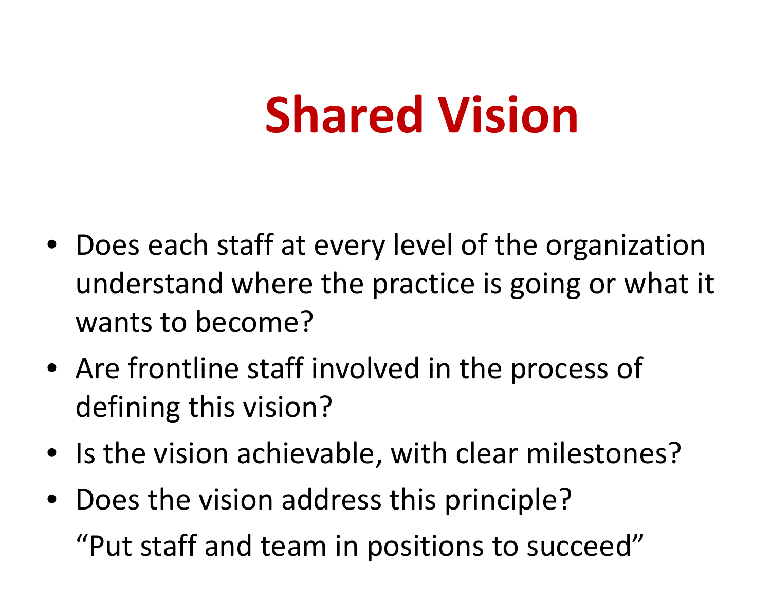# **Shared Vision**

- Does each staff at every level of the organization understand where the practice is going or what it wants to become?
- Are frontline staff involved in the process of defining this vision?
- $\bullet$  Is the vision achievable, with clear milestones?
- Does the vision address this principle? "Put staff and team in positions to succeed"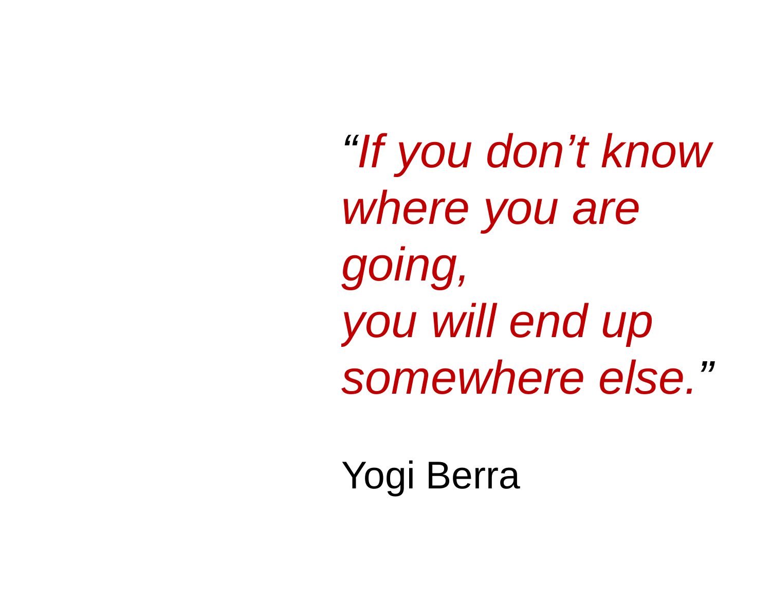*"If you don If t' know* where you are *going, you will end up somewhere else else."*

Yogi Berra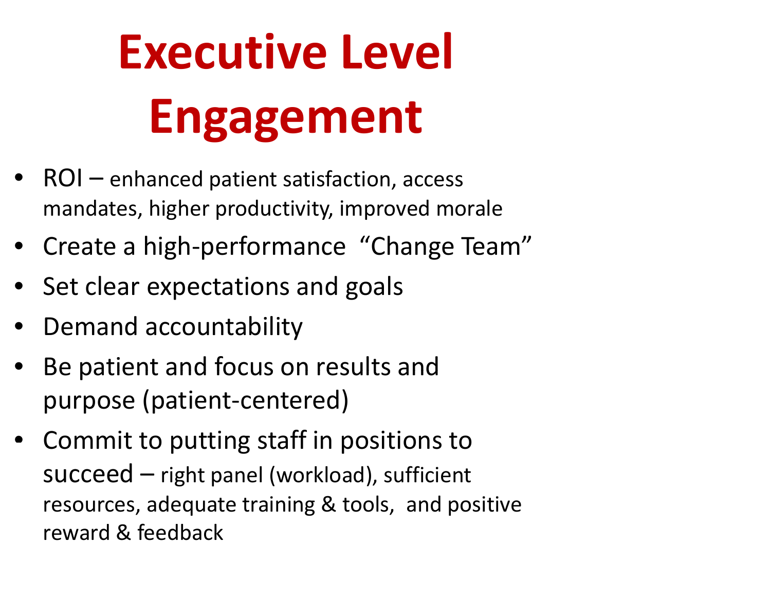# **Executive Level Engagement**

- •• ROI – enhanced patient satisfaction, access mandates, higher productivity, improved morale
- •● Create a high-performance "Change Team"
- •Set clear expectations and goals
- •• Demand accountability
- •• Be patient and focus on results and purpose (patient‐centered)
- Commit to putting staff in positions to succeed – right panel (workload), sufficient resources, adequate training & tools, and positive reward & feedback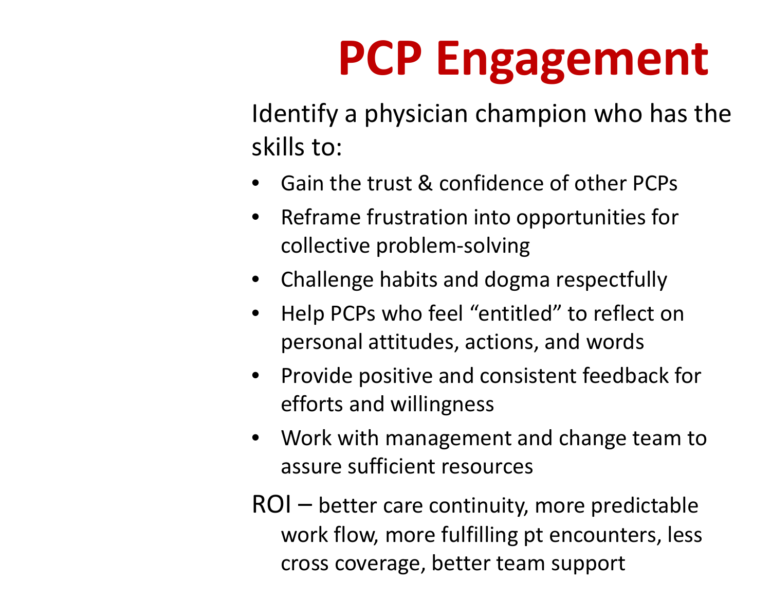# **PCP Eng ga ement**

Identify <sup>a</sup> physician champion who has the skills to:

- •Gain the trust & confidence of other PCPs
- •**•** Reframe frustration into opportunities for collective problem‐solving
- Challenge habits and dogma respectfully
- • Help PCPs who feel "entitled" to reflect on personal attitudes, actions, and words
- Provide positive and consistent feedback for efforts and willingness
- • Work with management and change team to assure sufficient resources

ROI – better care continuity, more predictable work flow, more fulfilling pt encounters, less cross coverage, better team support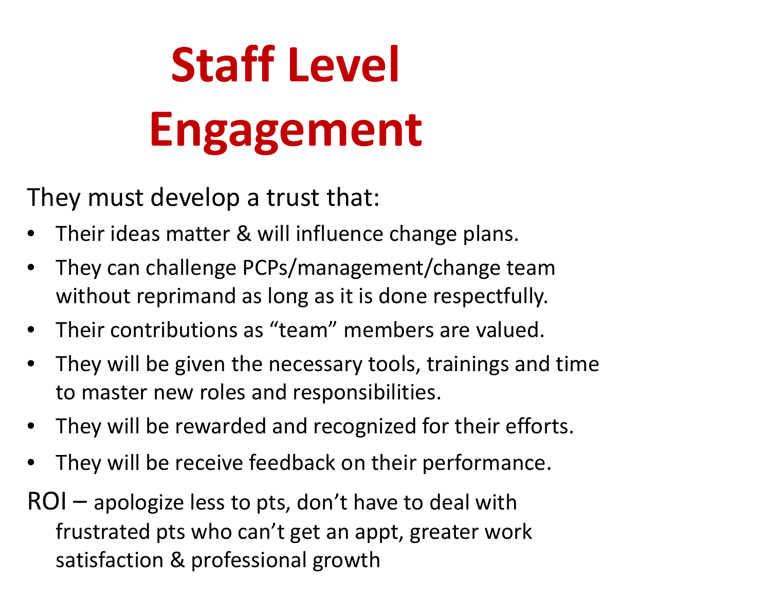# **Staff Level Eng ga ement**

They must develop <sup>a</sup> trust that:

- •• Their ideas matter & will influence change plans.
- • They can challenge PCPs/management/change team without reprimand as long as it is done respectfully.
- •Their contributions as "team" members are valued.
- • They will be given the necessary tools, trainings and time to master new roles and responsibilities.
- They will be rewarded and recognized for their efforts.
- •They will be receive feedback on their performance.

ROI – apologize less to pts, don't have to deal with frustrated pts who can't get an appt, greater work satisfaction & professional growth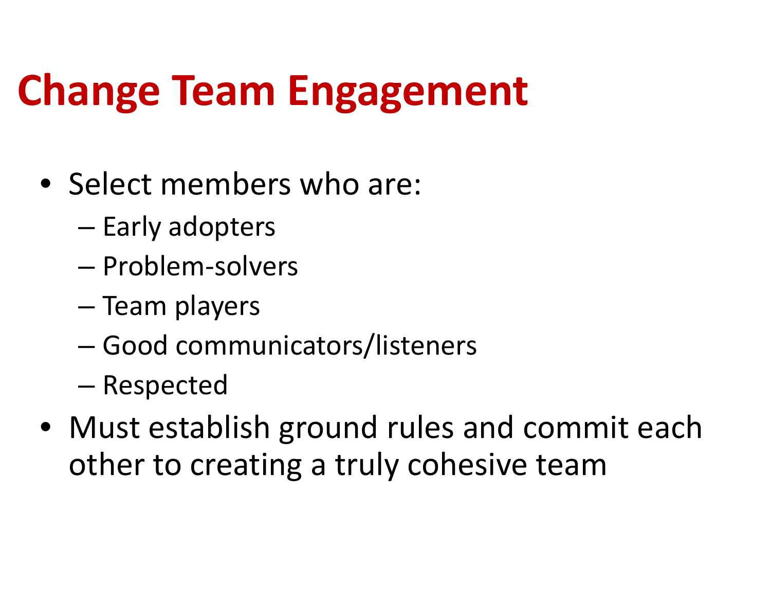### **Change Team E <sup>t</sup> ngagement**

- Select members who are:
	- and the state of the — Early adopters
	- Problem‐solvers
	- Team players
	- –Good communicators/listeners
	- and the state of the — Respected
- Must establish ground rules and commit each other to creating <sup>a</sup> truly cohesive team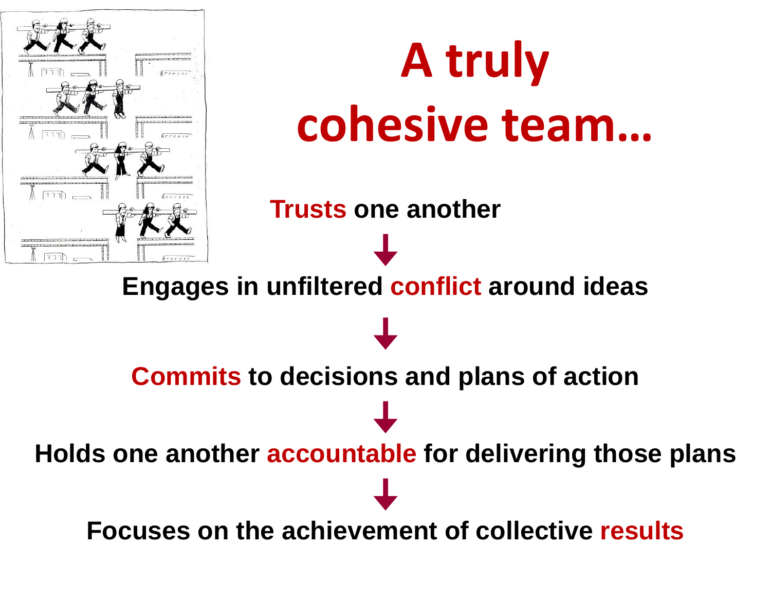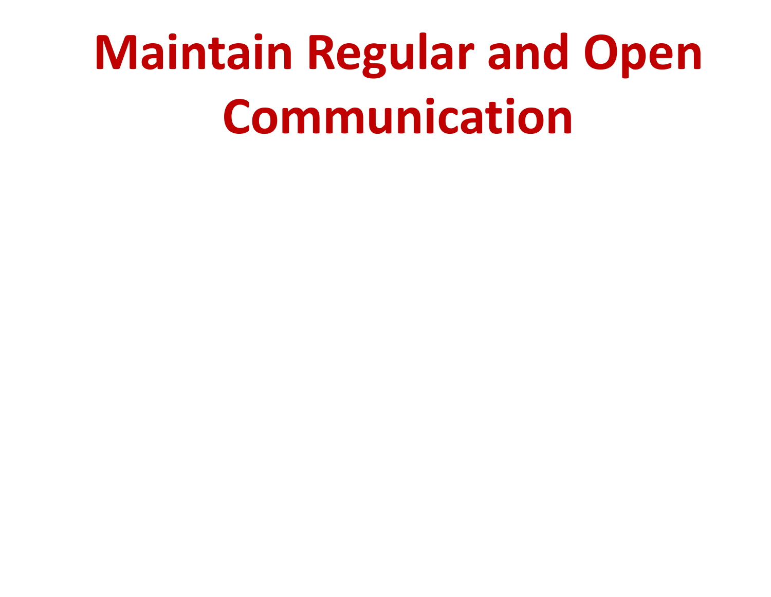# **Maintain Regular and Open Communication**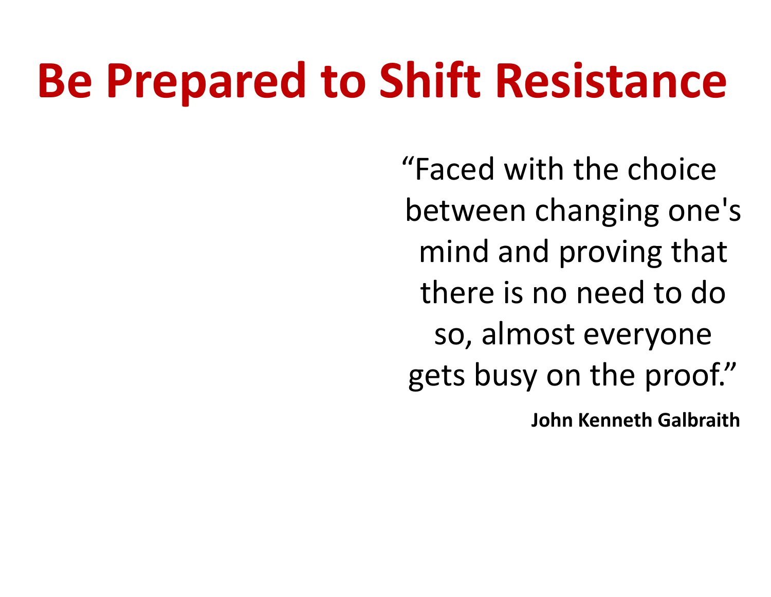## **Be Prepared to Shift Resistance**

"Faced with the choice between changing one's mind and proving that there is no need to do so, almost everyone gets busy on the proof."

**John Kenneth Galbraith**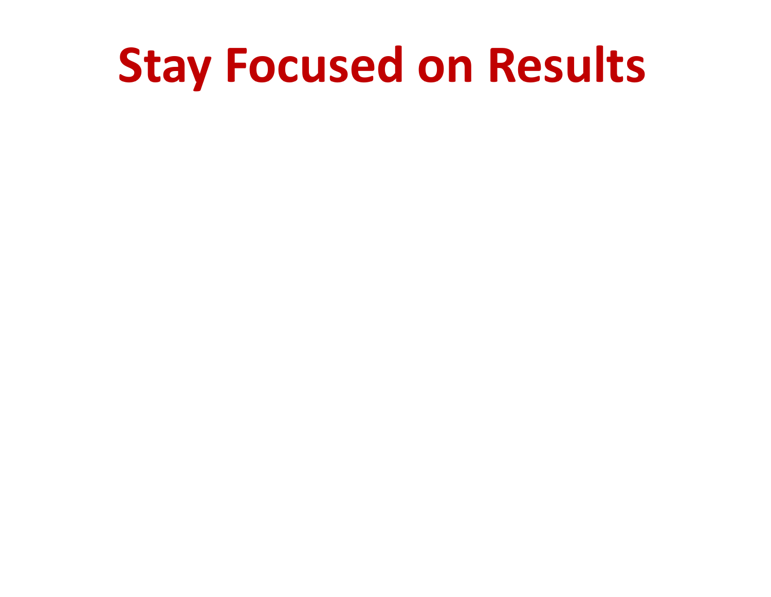### **Stay Focused on Results**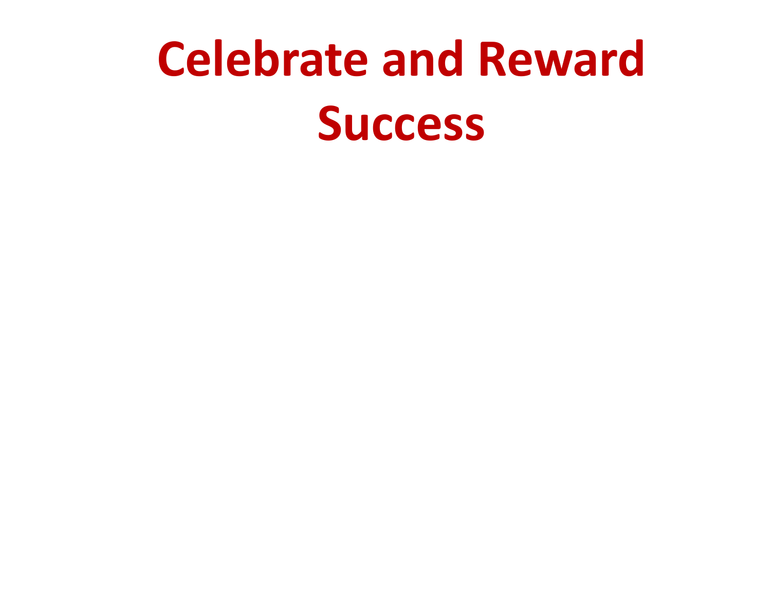# **Celebrate and Reward Success**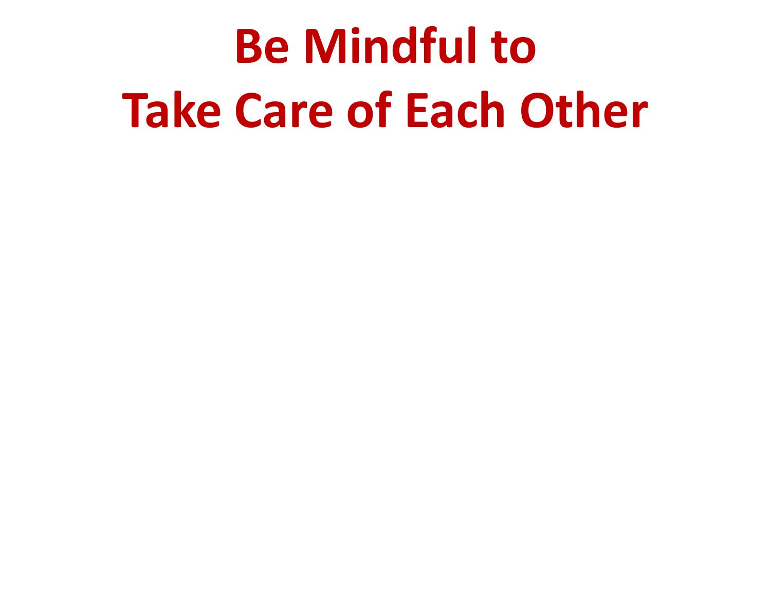# **Be Mindful to Take Care of Each Other**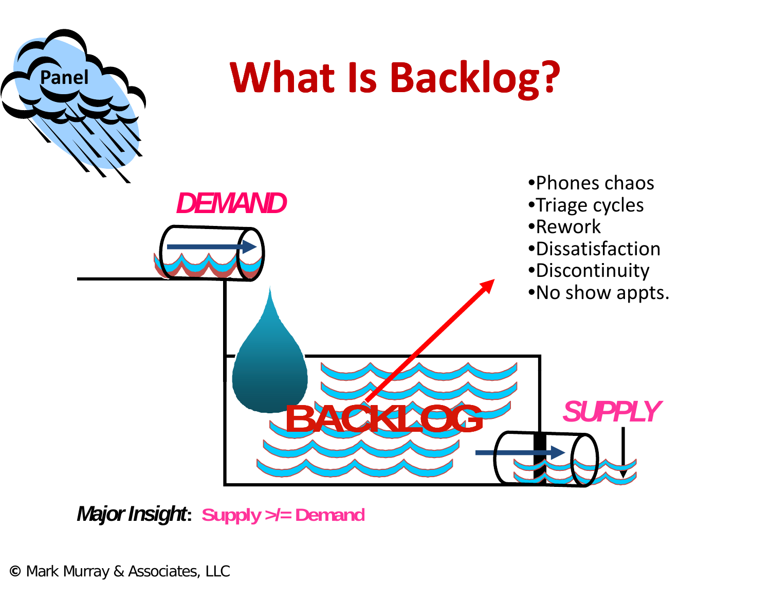

### **What Is Backlog?**



*Major Insight***: Supply >/= Demand**

**©** Mark Murray & Associates, LLC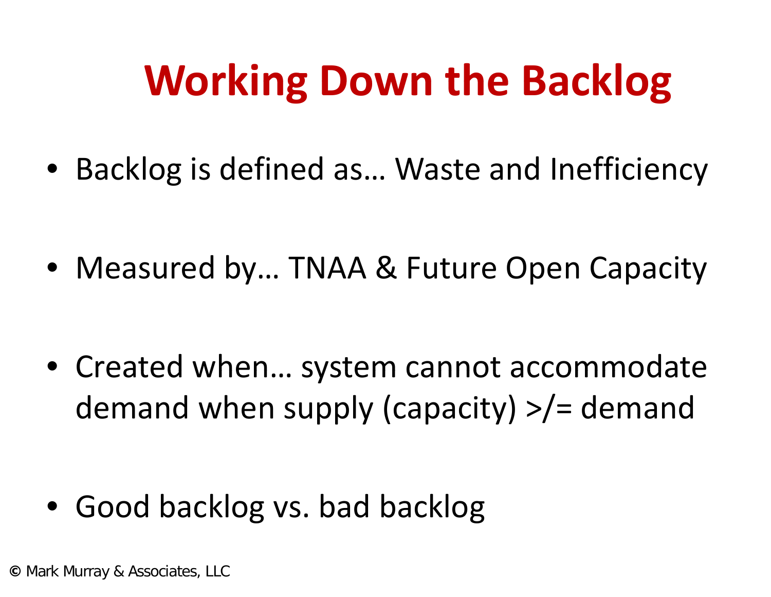### **Working Down the Backlog**

• Backlog is defined as… Waste and Inefficiency

• Measured by… TNAA & Future Open Capacity

• Created when… system cannot accommodate demand when supply (capacity) >/= demand

• Good backlog vs. bad backlog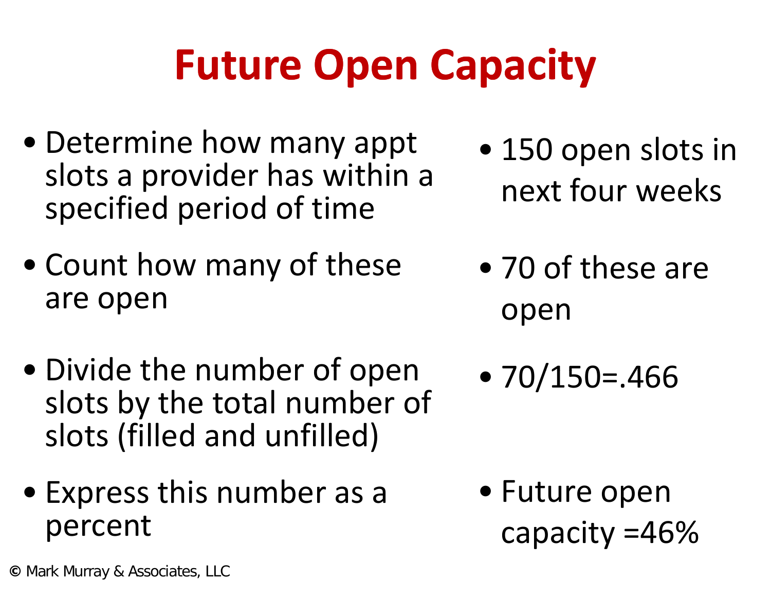## **Future Open Capacity**

- Determine how many appt Determine now many appt  $\bullet$  150 open slots in<br>slots a provider has within a specified period of time
- Count how many of these are open
- Divide the number of open Divide the number of open  $\qquad \bullet$  70/150=.466<br>slots by the total number of slots (filled and unfilled)
- Express this number as a Future open percent capacity =46%
- 150 open slots i next four weeks
- 70 of these are open
- •70/150=.466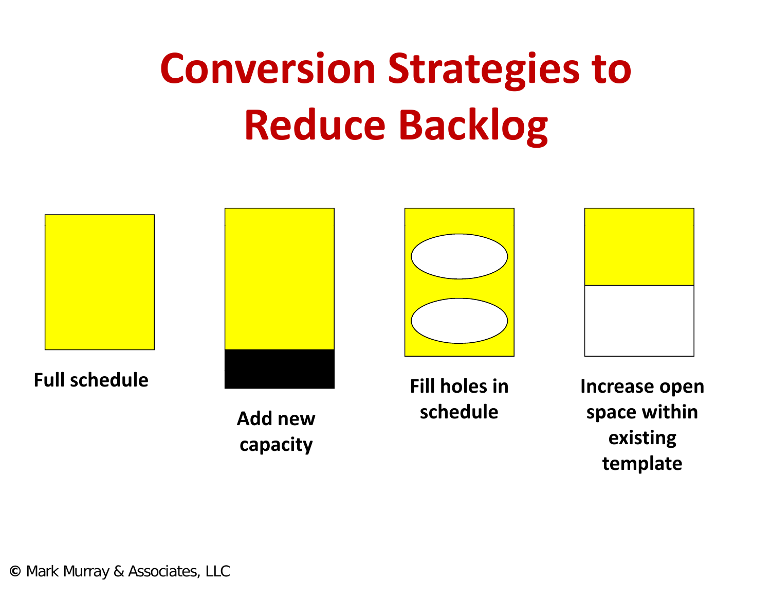### **Conversion Strategies to Reduce Backlog**



**©** Mark Murray & Associates, LLC